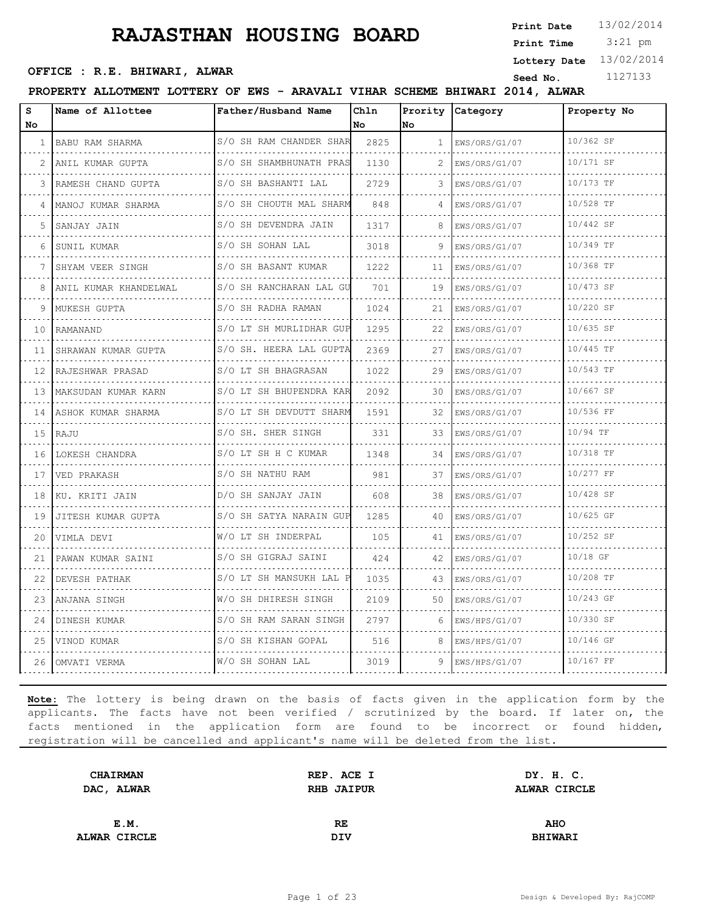3:21 pm **Print Date Print Time**

**Lottery Date** 13/02/2014

## **OFFICE : R.E. BHIWARI, ALWAR**<br>
Seed No. 1127133

**PROPERTY ALLOTMENT LOTTERY OF EWS - ARAVALI VIHAR SCHEME BHIWARI 2014, ALWAR**

| S<br>No.        | Name of Allottee        | Father/Husband Name          | Chln<br>No. | No | Prority Category   | Property No    |
|-----------------|-------------------------|------------------------------|-------------|----|--------------------|----------------|
| 1 <sup>1</sup>  | BABU RAM SHARMA         | S/O SH RAM CHANDER SHAR      | 2825        |    | $1$ EWS/ORS/G1/07  | 10/362 SF      |
|                 | .<br>ANIL KUMAR GUPTA   | S/O SH SHAMBHUNATH PRAS      | 1130        |    | .<br>EWS/ORS/G1/07 | .<br>10/171 SF |
| 3               | RAMESH CHAND GUPTA      | S/O SH BASHANTI LAL          | 2729        | 3  | EWS/ORS/G1/07      | 10/173 TF      |
| 4               | .<br>MANOJ KUMAR SHARMA | S/O SH CHOUTH MAL SHARM      | 848         |    | EWS/ORS/G1/07<br>. | 10/528 TF<br>. |
| 5.              | SANJAY JAIN             | S/O SH DEVENDRA JAIN<br>.    | 1317        |    | EWS/ORS/G1/07      | 10/442 SF      |
| 6               | SUNIL KUMAR             | S/O SH SOHAN LAL             | 3018        | 9  | EWS/ORS/G1/07      | 10/349 TF      |
| 7               | SHYAM VEER SINGH        | S/O SH BASANT KUMAR          | 1222        | 11 | EWS/ORS/G1/07      | 10/368 TF      |
| 8               | ANIL KUMAR KHANDELWAL   | S/O SH RANCHARAN LAL GU<br>. | 701         | 19 | EWS/ORS/G1/07      | 10/473 SF      |
| 9               | MUKESH GUPTA            | S/O SH RADHA RAMAN           | 1024        | 21 | EWS/ORS/G1/07      | 10/220 SF      |
| 10              | RAMANAND                | S/O LT SH MURLIDHAR GUP      | 1295        | 22 | EWS/ORS/G1/07<br>. | 10/635 SF      |
| 11              | SHRAWAN KUMAR GUPTA     | S/O SH. HEERA LAL GUPTA<br>. | 2369        | 27 | EWS/ORS/G1/07      | 10/445 TF      |
| 12              | RAJESHWAR PRASAD        | S/O LT SH BHAGRASAN          | 1022        | 29 | EWS/ORS/G1/07      | 10/543 TF      |
| $13-1$          | MAKSUDAN KUMAR KARN     | S/O LT SH BHUPENDRA KAR      | 2092        | 30 | EWS/ORS/G1/07      | 10/667 SF      |
|                 | 14 ASHOK KUMAR SHARMA   | S/O LT SH DEVDUTT SHARM<br>. | 1591        | 32 | EWS/ORS/G1/07      | 10/536 FF      |
| 15 <sub>1</sub> | RAJU                    | S/O SH. SHER SINGH           | 331         | 33 | EWS/ORS/G1/07      | 10/94 TF       |
| 16              | LOKESH CHANDRA          | S/O LT SH H C KUMAR          | 1348        | 34 | EWS/ORS/G1/07<br>. | 10/318 TF      |
| 17              | VED PRAKASH             | S/O SH NATHU RAM<br>.        | 981         | 37 | EWS/ORS/G1/07      | 10/277 FF      |
| 18              | KU. KRITI JAIN          | D/O SH SANJAY JAIN           | 608         | 38 | EWS/ORS/G1/07      | 10/428 SF      |
| 19              | JITESH KUMAR GUPTA      | S/O SH SATYA NARAIN GUP      | 1285        | 40 | EWS/ORS/G1/07<br>. | 10/625 GF      |
| 20              | VIMLA DEVI              | W/O LT SH INDERPAL<br>.      | 105         | 41 | EWS/ORS/G1/07      | 10/252 SF      |
| 21              | PAWAN KUMAR SAINI       | S/O SH GIGRAJ SAINI          | 424         | 42 | EWS/ORS/G1/07      | 10/18 GF       |
| 22              | DEVESH PATHAK           | S/O LT SH MANSUKH LAL P      | 1035        | 43 | EWS/ORS/G1/07      | 10/208 TF      |
| 23              | ANJANA SINGH            | W/O SH DHIRESH SINGH<br>.    | 2109        | 50 | EWS/ORS/G1/07      | 10/243 GF      |
| 24              | DINESH KUMAR            | S/O SH RAM SARAN SINGH       | 2797        | 6  | EWS/HPS/G1/07      | 10/330 SF      |
| 25              | VINOD KUMAR             | S/O SH KISHAN GOPAL          | 516         | 8  | EWS/HPS/G1/07      | 10/146 GF      |
| 26              | OMVATI VERMA            | W/O SH SOHAN LAL             | 3019        | 9  | EWS/HPS/G1/07      | 10/167 FF      |

| REP. ACE I        | DY. H. C.      |
|-------------------|----------------|
| <b>RHB JAIPUR</b> | ALWAR CIRCLE   |
|                   |                |
| RE                | <b>AHO</b>     |
| DIV               | <b>BHIWARI</b> |
|                   |                |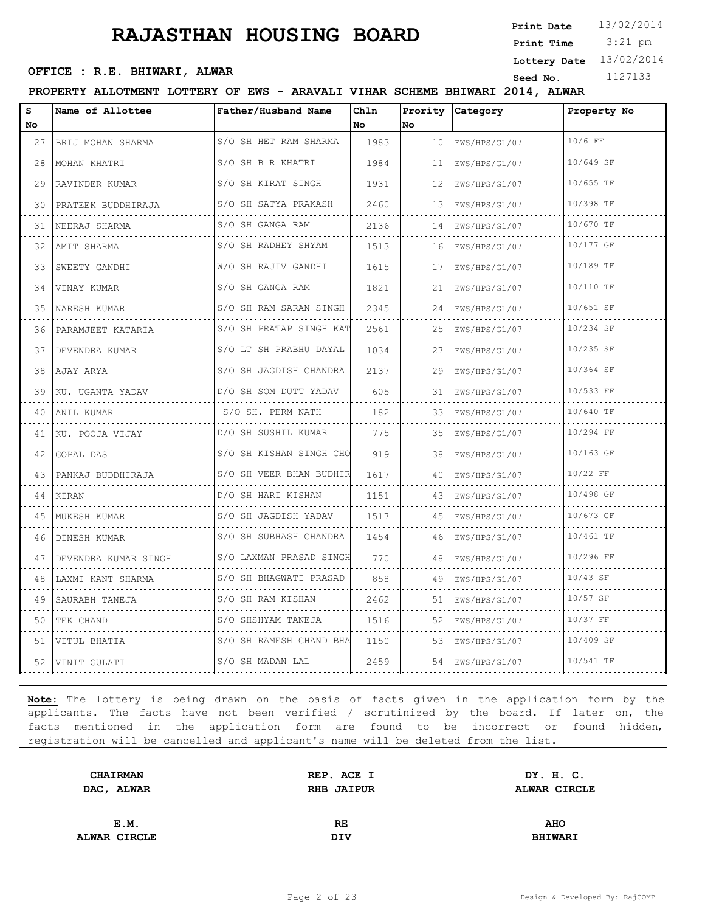3:21 pm **Print Date Print Time**

**OFFICE : R.E. BHIWARI, ALWAR**<br>
Seed No. 1127133

**Lottery Date** 13/02/2014

**PROPERTY ALLOTMENT LOTTERY OF EWS - ARAVALI VIHAR SCHEME BHIWARI 2014, ALWAR**

| S<br>No. | Name of Allottee     | Father/Husband Name             | Chln<br>No. | Prority<br>No | Category           | Property No |
|----------|----------------------|---------------------------------|-------------|---------------|--------------------|-------------|
| 27       | BRIJ MOHAN SHARMA    | S/O SH HET RAM SHARMA           | 1983        | 10            | EWS/HPS/G1/07<br>. | 10/6 FF     |
| 28       | MOHAN KHATRI         | S/O SH B R KHATRI<br>.          | 1984        | 11            | EWS/HPS/G1/07      | 10/649 SF   |
| 29       | RAVINDER KUMAR       | S/O SH KIRAT SINGH              | 1931        | 12            | EWS/HPS/G1/07      | 10/655 TF   |
| 30       | PRATEEK BUDDHIRAJA   | S/O SH SATYA PRAKASH<br>.       | 2460        | 13            | EWS/HPS/G1/07<br>. | 10/398 TF   |
| 31       | NEERAJ SHARMA        | S/O SH GANGA RAM<br>.           | 2136        | 14            | EWS/HPS/G1/07      | 10/670 TF   |
| 32       | AMIT SHARMA          | S/O SH RADHEY SHYAM             | 1513        | 16            | EWS/HPS/G1/07      | 10/177 GF   |
| 33       | SWEETY GANDHI        | W/O SH RAJIV GANDHI<br><u>.</u> | 1615        | 17            | EWS/HPS/G1/07<br>. | 10/189 TF   |
| 34       | VINAY KUMAR          | S/O SH GANGA RAM<br>.           | 1821        | 21            | EWS/HPS/G1/07      | 10/110 TF   |
| 35       | NARESH KUMAR         | S/O SH RAM SARAN SINGH          | 2345        | 24            | EWS/HPS/G1/07      | 10/651 SF   |
| 36       | PARAMJEET KATARIA    | S/O SH PRATAP SINGH KAT<br>.    | 2561        | 25            | EWS/HPS/G1/07      | 10/234 SF   |
| 37       | DEVENDRA KUMAR       | S/O LT SH PRABHU DAYAL<br>.     | 1034        | 27            | EWS/HPS/G1/07      | 10/235 SF   |
| 38       | AJAY ARYA            | S/O SH JAGDISH CHANDRA          | 2137        | 29            | EWS/HPS/G1/07      | 10/364 SF   |
| 39       | KU. UGANTA YADAV     | D/O SH SOM DUTT YADAV           | 605         | 31            | EWS/HPS/G1/07      | 10/533 FF   |
| 40       | ANIL KUMAR           | S/O SH. PERM NATH               | 182         | 33            | EWS/HPS/G1/07      | 10/640 TF   |
| 41       | KU. POOJA VIJAY      | D/O SH SUSHIL KUMAR             | 775         | 35            | EWS/HPS/G1/07      | 10/294 FF   |
| 42       | GOPAL DAS            | S/O SH KISHAN SINGH CHO         | 919         | 38            | EWS/HPS/G1/07<br>. | 10/163 GF   |
| 43       | PANKAJ BUDDHIRAJA    | S/O SH VEER BHAN BUDHIR         | 1617        | 40            | EWS/HPS/G1/07      | 10/22 FF    |
| 44       | KIRAN                | .<br>D/O SH HARI KISHAN         | 1151        | 43            | EWS/HPS/G1/07      | 10/498 GF   |
| 45       | MUKESH KUMAR         | S/O SH JAGDISH YADAV            | 1517        | 45            | EWS/HPS/G1/07      | 10/673 GF   |
| 46       | DINESH KUMAR         | .<br>S/O SH SUBHASH CHANDRA     | 1454        | 46            | EWS/HPS/G1/07      | 10/461 TF   |
| 47       | DEVENDRA KUMAR SINGH | S/O LAXMAN PRASAD SINGH         | 770         | 48            | EWS/HPS/G1/07      | 10/296 FF   |
| 48       | LAXMI KANT SHARMA    | S/O SH BHAGWATI PRASAD          | 858         | 49            | EWS/HPS/G1/07      | 10/43 SF    |
| 49       | SAURABH TANEJA       | S/O SH RAM KISHAN<br>.          | 2462        | 51            | EWS/HPS/G1/07      | $10/57$ SF  |
| 50       | TEK CHAND            | S/O SHSHYAM TANEJA              | 1516        | 52            | EWS/HPS/G1/07      | 10/37 FF    |
| 51       | VITUL BHATIA         | S/O SH RAMESH CHAND BHA         | 1150        | 53            | EWS/HPS/G1/07      | 10/409 SF   |
| 52       | VINIT GULATI         | S/O SH MADAN LAL                | 2459        | 54            | EWS/HPS/G1/07      | 10/541 TF   |

| <b>CHAIRMAN</b> | REP. ACE I        | DY. H. C.      |  |
|-----------------|-------------------|----------------|--|
| DAC, ALWAR      | <b>RHB JAIPUR</b> | ALWAR CIRCLE   |  |
|                 |                   |                |  |
| E.M.            | RE                | <b>AHO</b>     |  |
| ALWAR CIRCLE    | DIV               | <b>BHIWARI</b> |  |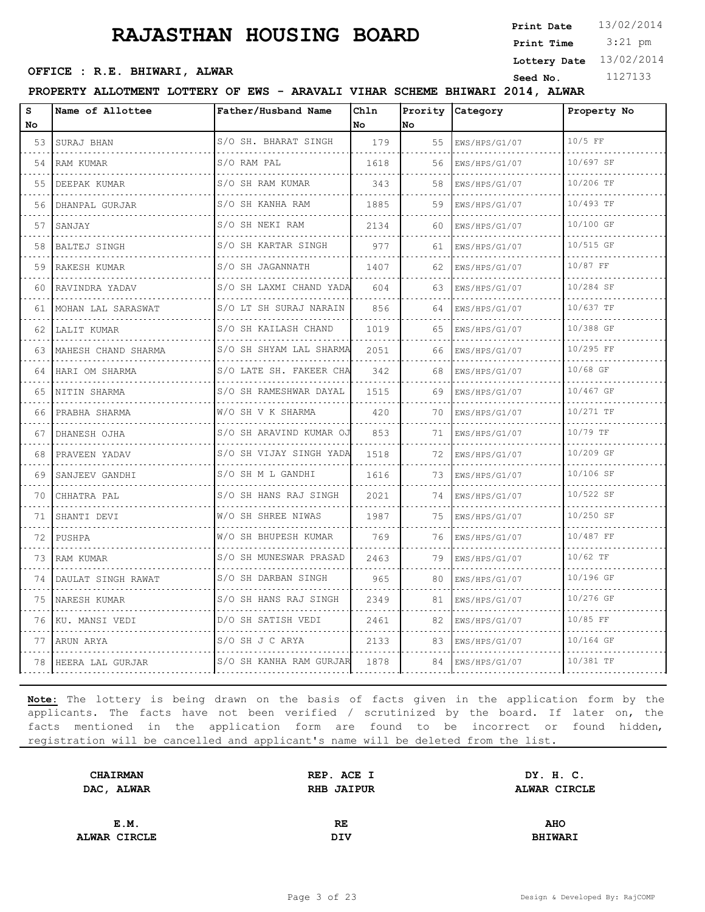3:21 pm **Print Date Print Time**

**Lottery Date** 13/02/2014

## **OFFICE : R.E. BHIWARI, ALWAR**<br>
Seed No. 1127133

#### **PROPERTY ALLOTMENT LOTTERY OF EWS - ARAVALI VIHAR SCHEME BHIWARI 2014, ALWAR**

| s<br>No | Name of Allottee    | Father/Husband Name          | Chln<br>No. | Prority<br>lno. | Category                | Property No |
|---------|---------------------|------------------------------|-------------|-----------------|-------------------------|-------------|
| 53      | SURAJ BHAN          | S/O SH. BHARAT SINGH         | 179         | 55              | EWS/HPS/G1/07           | 10/5 FF     |
| 54      | .<br>RAM KUMAR      | S/O RAM PAL<br>.             | 1618        | 56              | .<br>EWS/HPS/G1/07      | 10/697 SF   |
| 55      | DEEPAK KUMAR        | S/O SH RAM KUMAR             | 343         | 58              | EWS/HPS/G1/07           | 10/206 TF   |
| 56      | DHANPAL GURJAR      | S/O SH KANHA RAM             | 1885        | 59              | EWS/HPS/G1/07<br>.      | 10/493 TF   |
| 57      | SANJAY              | S/O SH NEKI RAM<br>.         | 2134        | 60              | EWS/HPS/G1/07<br>.      | 10/100 GF   |
| 58      | <b>BALTEJ SINGH</b> | S/O SH KARTAR SINGH          | 977         | 61              | EWS/HPS/G1/07           | 10/515 GF   |
| 59      | RAKESH KUMAR<br>.   | S/O SH JAGANNATH             | 1407        | 62              | EWS/HPS/G1/07<br>.      | 10/87 FF    |
| 60      | RAVINDRA YADAV<br>. | S/O SH LAXMI CHAND YADA      | 604         | 63              | EWS/HPS/G1/07           | 10/284 SF   |
| 61      | MOHAN LAL SARASWAT  | S/O LT SH SURAJ NARAIN       | 856         | 64              | EWS/HPS/G1/07           | 10/637 TF   |
|         | 62   LALIT KUMAR    | S/O SH KAILASH CHAND         | 1019        | 65              | EWS/HPS/G1/07           | 10/388 GF   |
| 63      | MAHESH CHAND SHARMA | S/O SH SHYAM LAL SHARMA<br>. | 2051        | 66              | .<br>EWS/HPS/G1/07      | 10/295 FF   |
| 64      | HARI OM SHARMA      | S/O LATE SH. FAKEER CHA      | 342         | 68              | EWS/HPS/G1/07           | 10/68 GF    |
|         | 65 INITIN SHARMA    | S/O SH RAMESHWAR DAYAL       | 1515        | 69              | EWS/HPS/G1/07           | 10/467 GF   |
| 66      | PRABHA SHARMA       | W/O SH V K SHARMA<br>.       | 420         | 70              | .<br>EWS/HPS/G1/07      | 10/271 TF   |
| 67      | DHANESH OJHA        | S/O SH ARAVIND KUMAR OJ      | 853         | 71              | EWS/HPS/G1/07           | 10/79 TF    |
| 68      | PRAVEEN YADAV       | S/O SH VIJAY SINGH YADA      | 1518        | 72              | EWS/HPS/G1/07           | 10/209 GF   |
| 69      | .<br>SANJEEV GANDHI | S/O SH M L GANDHI<br>.       | 1616        | 73              | .<br>EWS/HPS/G1/07<br>. | 10/106 SF   |
| 70      | CHHATRA PAL         | S/O SH HANS RAJ SINGH        | 2021        | 74              | EWS/HPS/G1/07           | 10/522 SF   |
| 71      | SHANTI DEVI         | W/O SH SHREE NIWAS<br>.      | 1987        | 75              | EWS/HPS/G1/07<br>.      | 10/250 SF   |
| 72      | PUSHPA              | W/O SH BHUPESH KUMAR<br>.    | 769         | 76              | EWS/HPS/G1/07           | 10/487 FF   |
| 73      | RAM KUMAR           | S/O SH MUNESWAR PRASAD       | 2463        | 79              | EWS/HPS/G1/07           | $10/62$ TF  |
| 74 I    | DAULAT SINGH RAWAT  | S/O SH DARBAN SINGH          | 965         | 80              | EWS/HPS/G1/07<br>.      | 10/196 GF   |
| 75      | NARESH KUMAR        | S/O SH HANS RAJ SINGH<br>.   | 2349        | 81              | EWS/HPS/G1/07           | 10/276 GF   |
| 76      | KU. MANSI VEDI      | D/O SH SATISH VEDI           | 2461        | 82              | EWS/HPS/G1/07           | 10/85 FF    |
|         | 77 ARUN ARYA<br>.   | S/O SH J C ARYA              | 2133        | 83              | EWS/HPS/G1/07<br>.      | 10/164 GF   |
| 78      | HEERA LAL GURJAR    | S/O SH KANHA RAM GURJAR      | 1878        | 84              | EWS/HPS/G1/07           | 10/381 TF   |

| <b>CHAIRMAN</b> | REP. ACE I        | DY. H. C.      |  |
|-----------------|-------------------|----------------|--|
| DAC, ALWAR      | <b>RHB JAIPUR</b> | ALWAR CIRCLE   |  |
|                 |                   |                |  |
| E.M.            | RE                | <b>AHO</b>     |  |
| ALWAR CIRCLE    | DIV               | <b>BHIWARI</b> |  |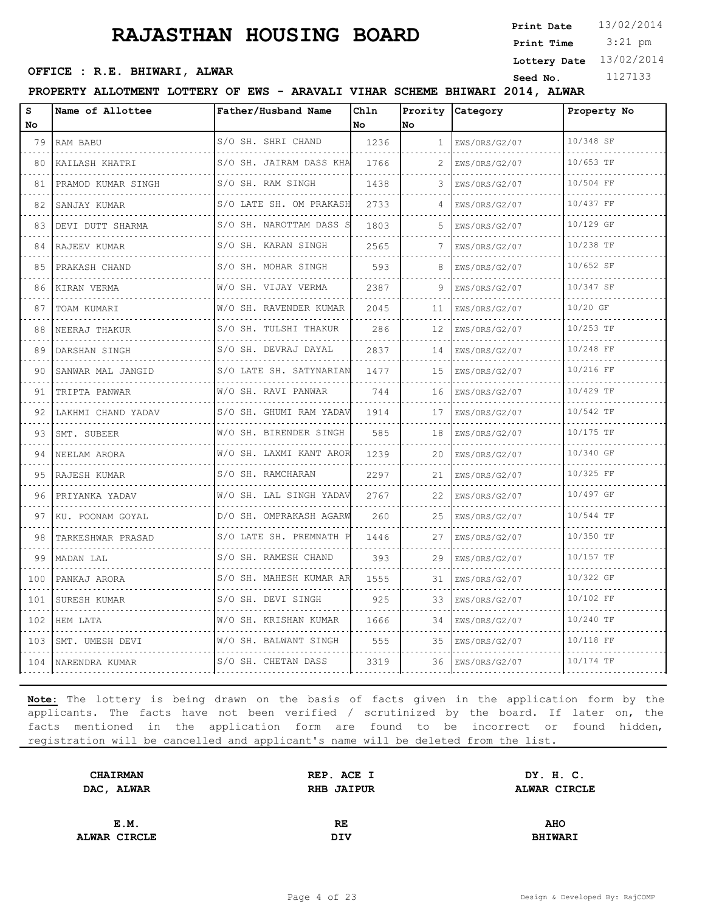3:21 pm **Print Date Print Time**

**Lottery Date** 13/02/2014

## **OFFICE : R.E. BHIWARI, ALWAR**<br>
Seed No. 1127133

#### **PROPERTY ALLOTMENT LOTTERY OF EWS - ARAVALI VIHAR SCHEME BHIWARI 2014, ALWAR**

| s   | Name of Allottee   | Father/Husband Name          | Ch1n | Prority      | <b>Category</b> | Property No |
|-----|--------------------|------------------------------|------|--------------|-----------------|-------------|
| No  |                    |                              | No   | No           |                 |             |
| 79  | RAM BABU           | S/O SH. SHRI CHAND           | 1236 | $\mathbf{1}$ | ENS/ORS/G2/07   | 10/348 SF   |
| 80  | KAILASH KHATRI     | S/O SH. JAIRAM DASS KHA      | 1766 | 2            | EWS/ORS/G2/07   | 10/653 TF   |
| 81  | PRAMOD KUMAR SINGH | S/O SH. RAM SINGH            | 1438 | 3            | EWS/ORS/G2/07   | 10/504 FF   |
| 82  | SANJAY KUMAR       | S/O LATE SH. OM PRAKASH<br>. | 2733 |              | EWS/ORS/G2/07   | 10/437 FF   |
| 83  | DEVI DUTT SHARMA   | S/O SH. NAROTTAM DASS S      | 1803 | 5            | EWS/ORS/G2/07   | 10/129 GF   |
| 84  | RAJEEV KUMAR       | S/O SH. KARAN SINGH          | 2565 | 7            | EWS/ORS/G2/07   | 10/238 TF   |
| 85  | PRAKASH CHAND      | S/O SH. MOHAR SINGH          | 593  |              | EWS/ORS/G2/07   | 10/652 SF   |
| 86  | KIRAN VERMA        | W/O SH. VIJAY VERMA          | 2387 | 9            | EWS/ORS/G2/07   | 10/347 SF   |
| 87  | TOAM KUMARI        | W/O SH. RAVENDER KUMAR       | 2045 | 11           | EWS/ORS/G2/07   | 10/20 GF    |
| 88  | NEERAJ THAKUR      | S/O SH. TULSHI THAKUR        | 286  | 12           | EWS/ORS/G2/07   | $10/253$ TF |
| 89  | DARSHAN SINGH      | S/O SH. DEVRAJ DAYAL         | 2837 | 14           | EWS/ORS/G2/07   | 10/248 FF   |
| 90  | SANWAR MAL JANGID  | S/O LATE SH. SATYNARIAN      | 1477 | 15           | EWS/ORS/G2/07   | 10/216 FF   |
| 91  | TRIPTA PANWAR      | W/O SH. RAVI PANWAR          | 744  | 16           | EWS/ORS/G2/07   | 10/429 TF   |
| 92  | LAKHMI CHAND YADAV | S/O SH. GHUMI RAM YADAV      | 1914 | 17           | EWS/ORS/G2/07   | 10/542 TF   |
| 93  | SMT. SUBEER        | W/O SH. BIRENDER SINGH       | 585  | 18           | EWS/ORS/G2/07   | 10/175 TF   |
| 94  | NEELAM ARORA       | W/O SH. LAXMI KANT AROR      | 1239 | 20           | EWS/ORS/G2/07   | 10/340 GF   |
| 95  | RAJESH KUMAR       | S/O SH. RAMCHARAN            | 2297 | 21           | EWS/ORS/G2/07   | 10/325 FF   |
| 96  | PRIYANKA YADAV     | W/O SH. LAL SINGH YADAV      | 2767 | 22           | EWS/ORS/G2/07   | 10/497 GF   |
| 97  | KU. POONAM GOYAL   | D/O SH. OMPRAKASH AGARW      | 260  | 25           | EWS/ORS/G2/07   | 10/544 TF   |
| 98  | TARKESHWAR PRASAD  | S/O LATE SH. PREMNATH P      | 1446 | 27           | EWS/ORS/G2/07   | 10/350 TF   |
| 99  | MADAN LAL          | S/O SH. RAMESH CHAND         | 393  | 29           | EWS/ORS/G2/07   | 10/157 TF   |
| 100 | PANKAJ ARORA       | S/O SH. MAHESH KUMAR AR      | 1555 | 31           | EWS/ORS/G2/07   | 10/322 GF   |
| 101 | SURESH KUMAR       | S/O SH. DEVI SINGH           | 925  | 33           | EWS/ORS/G2/07   | 10/102 FF   |
| 102 | HEM LATA           | W/O SH. KRISHAN KUMAR        | 1666 | 34           | EWS/ORS/G2/07   | 10/240 TF   |
| 103 | SMT. UMESH DEVI    | W/O SH. BALWANT SINGH        | 555  | 35           | EWS/ORS/G2/07   | 10/118 FF   |
| 104 | NARENDRA KUMAR     | S/O SH. CHETAN DASS          | 3319 | 36           | EWS/ORS/G2/07   | 10/174 TF   |

| <b>CHAIRMAN</b> | REP. ACE I | DY. H. C.      |  |
|-----------------|------------|----------------|--|
| DAC, ALWAR      | RHB JAIPUR | ALWAR CIRCLE   |  |
|                 |            |                |  |
| E.M.            | RE         | <b>AHO</b>     |  |
| ALWAR CIRCLE    | <b>DIV</b> | <b>BHIWARI</b> |  |
|                 |            |                |  |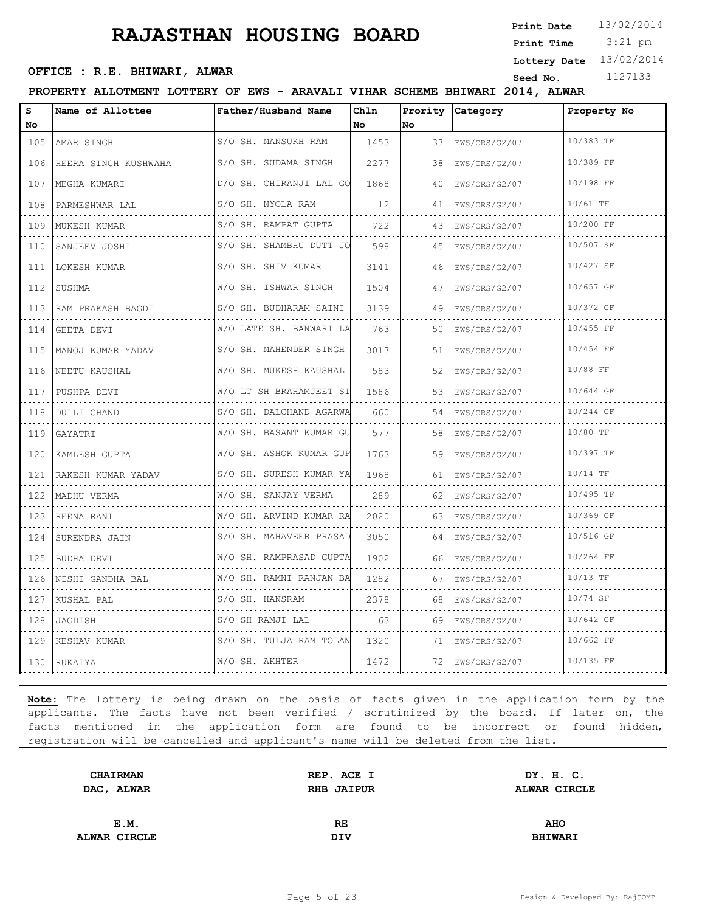3:21 pm **Print Date Print Time**

**Lottery Date** 13/02/2014

## **OFFICE : R.E. BHIWARI, ALWAR**<br>
Seed No. 1127133

**PROPERTY ALLOTMENT LOTTERY OF EWS - ARAVALI VIHAR SCHEME BHIWARI 2014, ALWAR**

| s<br>No | Name of Allottee          | Father/Husband Name     | Chln<br>No | Prority<br>No. | Category           | Property No |
|---------|---------------------------|-------------------------|------------|----------------|--------------------|-------------|
| 105     | AMAR SINGH                | S/O SH. MANSUKH RAM     | 1453       | 37             | EWS/ORS/G2/07      | 10/383 TF   |
| 106     | .<br>HEERA SINGH KUSHWAHA | S/O SH. SUDAMA SINGH    | 2277       | 38             | .<br>EWS/ORS/G2/07 | 10/389 FF   |
| 107     | MEGHA KUMARI              | D/O SH. CHIRANJI LAL GO | 1868       | 40             | EWS/ORS/G2/07      | 10/198 FF   |
| 108     | PARMESHWAR LAL            | S/O SH. NYOLA RAM       | 12         | 41             | EWS/ORS/G2/07      | 10/61 TF    |
| 109     | MUKESH KUMAR              | S/O SH. RAMPAT GUPTA    | 722        | 43             | EWS/ORS/G2/07      | 10/200 FF   |
| 110     | SANJEEV JOSHI             | S/O SH. SHAMBHU DUTT JO | 598        | 45             | EWS/ORS/G2/07      | 10/507 SF   |
| 111     | LOKESH KUMAR              | S/O SH. SHIV KUMAR      | 3141       | 46             | EWS/ORS/G2/07<br>. | 10/427 SF   |
| 112     | SUSHMA                    | W/O SH. ISHWAR SINGH    | 1504       | 47             | EWS/ORS/G2/07      | 10/657 GF   |
| 113     | RAM PRAKASH BAGDI         | S/O SH. BUDHARAM SAINI  | 3139       | 49             | EWS/ORS/G2/07      | 10/372 GF   |
| 114     | GEETA DEVI                | W/O LATE SH. BANWARI LA | 763        | 50             | EWS/ORS/G2/07      | 10/455 FF   |
| 115     | MANOJ KUMAR YADAV         | S/O SH. MAHENDER SINGH  | 3017       | 51             | EWS/ORS/G2/07      | 10/454 FF   |
| 116     | NEETU KAUSHAL             | W/O SH. MUKESH KAUSHAL  | 583        | 52             | EWS/ORS/G2/07      | 10/88 FF    |
| 117     | PUSHPA DEVI               | W/O LT SH BRAHAMJEET SI | 1586       | 53             | EWS/ORS/G2/07<br>. | 10/644 GF   |
| 118     | DULLI CHAND               | S/O SH. DALCHAND AGARWA | 660        | 54             | EWS/ORS/G2/07      | 10/244 GF   |
| 119     | GAYATRI                   | W/O SH. BASANT KUMAR GU | 577        | 58             | EWS/ORS/G2/07      | 10/80 TF    |
| 120     | KAMLESH GUPTA             | W/O SH. ASHOK KUMAR GUP | 1763       | 59             | EWS/ORS/G2/07      | 10/397 TF   |
| 121     | RAKESH KUMAR YADAV        | S/O SH. SURESH KUMAR YA | 1968       | 61             | EWS/ORS/G2/07      | $10/14$ TF  |
| 122     | MADHU VERMA               | W/O SH. SANJAY VERMA    | 289        | 62             | EWS/ORS/G2/07      | 10/495 TF   |
| 123     | REENA RANI                | W/O SH. ARVIND KUMAR RA | 2020       | 63             | EWS/ORS/G2/07      | 10/369 GF   |
| 124     | SURENDRA JAIN             | S/O SH. MAHAVEER PRASAD | 3050       | 64             | EWS/ORS/G2/07      | 10/516 GF   |
| 125     | BUDHA DEVI                | W/O SH. RAMPRASAD GUPTA | 1902       | 66             | EWS/ORS/G2/07      | 10/264 FF   |
| 126     | NISHI GANDHA BAL          | W/O SH. RAMNI RANJAN BA | 1282       | 67             | EWS/ORS/G2/07      | 10/13 TF    |
| 127     | KUSHAL PAL                | S/O SH. HANSRAM         | 2378       | 68             | EWS/ORS/G2/07      | 10/74 SF    |
| 128     | JAGDISH                   | S/O SH RAMJI LAL        | 63         | 69             | EWS/ORS/G2/07      | 10/642 GF   |
| 129     | KESHAV KUMAR              | S/O SH. TULJA RAM TOLAN | 1320       | 71             | EWS/ORS/G2/07      | 10/662 FF   |
| 130     | RUKAIYA                   | W/O SH. AKHTER          | 1472       | 72             | EWS/ORS/G2/07      | 10/135 FF   |

| <b>CHAIRMAN</b> | REP. ACE I | DY. H. C.      |  |
|-----------------|------------|----------------|--|
| DAC, ALWAR      | RHB JAIPUR | ALWAR CIRCLE   |  |
|                 |            |                |  |
| E.M.            | RE         | <b>AHO</b>     |  |
| ALWAR CIRCLE    | DIV        | <b>BHIWARI</b> |  |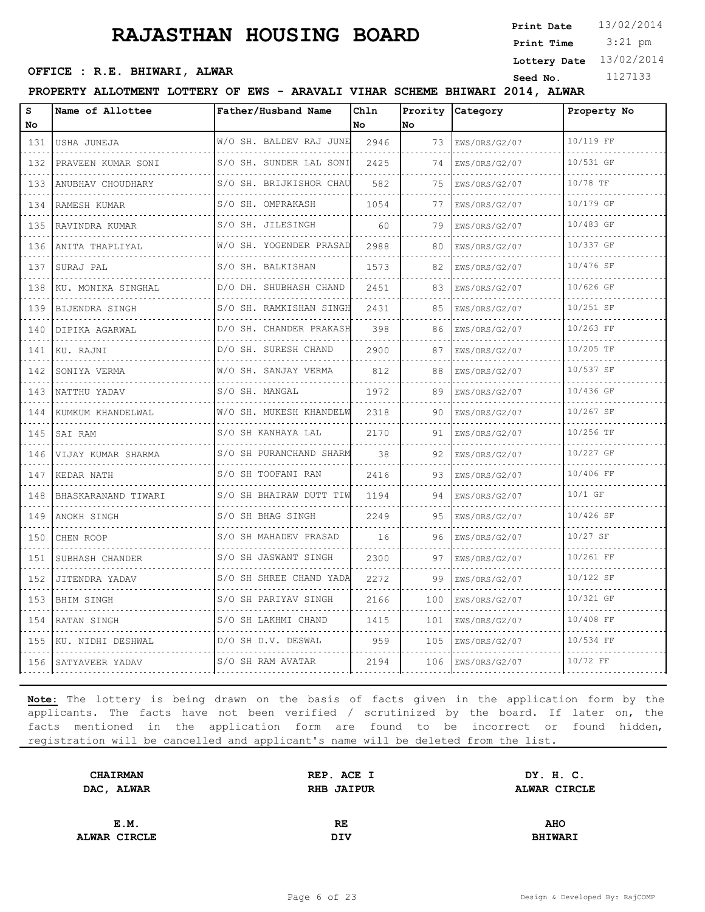3:21 pm **Print Date Print Time**

**Lottery Date** 13/02/2014

## **OFFICE : R.E. BHIWARI, ALWAR**<br>
Seed No. 1127133

**PROPERTY ALLOTMENT LOTTERY OF EWS - ARAVALI VIHAR SCHEME BHIWARI 2014, ALWAR**

| s<br>No | Name of Allottee      | Father/Husband Name     | Chln<br>No | Prority<br>lno | Category           | Property No |
|---------|-----------------------|-------------------------|------------|----------------|--------------------|-------------|
| 131     | USHA JUNEJA           | W/O SH. BALDEV RAJ JUNE | 2946       | 73             | EWS/ORS/G2/07      | 10/119 FF   |
| 132     | PRAVEEN KUMAR SONI    | S/O SH. SUNDER LAL SONI | 2425       | 74             | EWS/ORS/G2/07      | 10/531 GF   |
| 133     | ANUBHAV CHOUDHARY     | S/O SH. BRIJKISHOR CHAU | 582        | 75             | EWS/ORS/G2/07      | 10/78 TF    |
| 134     | RAMESH KUMAR          | S/O SH. OMPRAKASH       | 1054       | 77             | EWS/ORS/G2/07      | 10/179 GF   |
| 135     | RAVINDRA KUMAR        | S/O SH. JILESINGH       | 60         | 79             | EWS/ORS/G2/07      | 10/483 GF   |
| 136     | ANITA THAPLIYAL       | W/O SH. YOGENDER PRASAD | 2988       | 80             | EWS/ORS/G2/07      | 10/337 GF   |
| 137     | SURAJ PAL             | S/O SH. BALKISHAN       | 1573       | 82             | EWS/ORS/G2/07      | 10/476 SF   |
| 138     | KU. MONIKA SINGHAL    | D/O DH. SHUBHASH CHAND  | 2451       | 83             | EWS/ORS/G2/07      | 10/626 GF   |
| 139     | BIJENDRA SINGH        | S/O SH. RAMKISHAN SINGH | 2431       | 85             | EWS/ORS/G2/07      | 10/251 SF   |
| 140     | DIPIKA AGARWAL        | D/O SH. CHANDER PRAKASH | 398        | 86             | EWS/ORS/G2/07      | 10/263 FF   |
| 141     | KU. RAJNI             | D/O SH. SURESH CHAND    | 2900       | 87             | EWS/ORS/G2/07      | 10/205 TF   |
| 142     | SONIYA VERMA          | W/O SH. SANJAY VERMA    | 812        | 88             | EWS/ORS/G2/07      | 10/537 SF   |
| 143     | NATTHU YADAV          | S/O SH. MANGAL<br>.     | 1972       | 89             | EWS/ORS/G2/07      | 10/436 GF   |
| 144     | KUMKUM KHANDELWAL     | W/O SH. MUKESH KHANDELW | 2318       | 90             | .<br>EWS/ORS/G2/07 | 10/267 SF   |
| 145     | SAI RAM               | S/O SH KANHAYA LAL      | 2170       | 91             | EWS/ORS/G2/07      | 10/256 TF   |
| 146     | VIJAY KUMAR SHARMA    | S/O SH PURANCHAND SHARM | 38         | 92             | EWS/ORS/G2/07      | 10/227 GF   |
| 147     | KEDAR NATH            | S/O SH TOOFANI RAN      | 2416       | 93             | EWS/ORS/G2/07      | 10/406 FF   |
| 148     | BHASKARANAND TIWARI   | S/O SH BHAIRAW DUTT TIW | 1194       | 94             | EWS/ORS/G2/07      | $10/1$ GF   |
| 149     | ANOKH SINGH           | S/O SH BHAG SINGH       | 2249       | 95             | EWS/ORS/G2/07      | 10/426 SF   |
| 150     | CHEN ROOP             | S/O SH MAHADEV PRASAD   | 16         | 96             | EWS/ORS/G2/07      | $10/27$ SF  |
| 151     | SUBHASH CHANDER       | S/O SH JASWANT SINGH    | 2300       | 97             | EWS/ORS/G2/07      | 10/261 FF   |
| 152     | JITENDRA YADAV        | S/O SH SHREE CHAND YADA | 2272       | 99             | EWS/ORS/G2/07      | 10/122 SF   |
| 153     | <b>BHIM SINGH</b>     | S/O SH PARIYAV SINGH    | 2166       | 100            | EWS/ORS/G2/07      | 10/321 GF   |
| 154     | RATAN SINGH           | S/O SH LAKHMI CHAND     | 1415       | 101            | EWS/ORS/G2/07      | 10/408 FF   |
|         | 155 KU. NIDHI DESHWAL | D/O SH D.V. DESWAL      | 959        | 105            | EWS/ORS/G2/07      | 10/534 FF   |
|         | 156 SATYAVEER YADAV   | S/O SH RAM AVATAR       | 2194       | 106            | EWS/ORS/G2/07      | 10/72 FF    |

| <b>CHAIRMAN</b>     | REP. ACE I        | DY. H. C.           |  |
|---------------------|-------------------|---------------------|--|
| DAC, ALWAR          | <b>RHB JAIPUR</b> | <b>ALWAR CIRCLE</b> |  |
|                     |                   |                     |  |
| E.M.                | RE.               | <b>AHO</b>          |  |
| <b>ALWAR CIRCLE</b> | DIV               | <b>BHIWARI</b>      |  |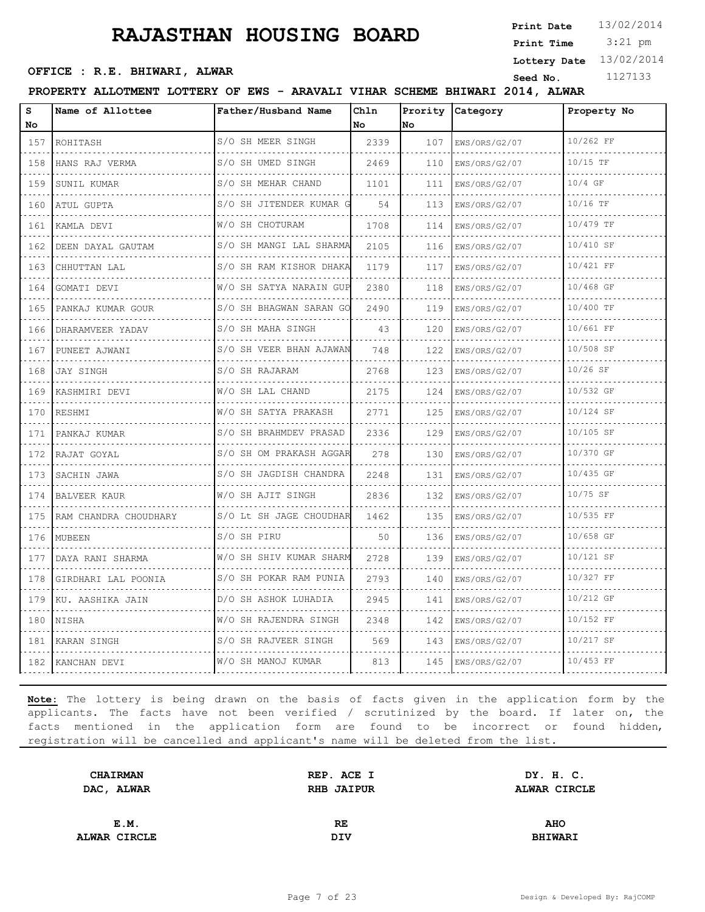3:21 pm **Print Date Print Time**

**Lottery Date** 13/02/2014

## **OFFICE : R.E. BHIWARI, ALWAR**<br>
Seed No. 1127133

**PROPERTY ALLOTMENT LOTTERY OF EWS - ARAVALI VIHAR SCHEME BHIWARI 2014, ALWAR**

| s                                  | Name of Allottee      | Father/Husband Name         | Ch1n | Prority | Category           | Property No |
|------------------------------------|-----------------------|-----------------------------|------|---------|--------------------|-------------|
| No                                 |                       |                             | No.  | No      |                    |             |
| 157                                | ROHITASH              | S/O SH MEER SINGH           | 2339 | 107     | EWS/ORS/G2/07      | 10/262 FF   |
| 158                                | HANS RAJ VERMA        | S/O SH UMED SINGH           | 2469 | 110     | EWS/ORS/G2/07      | $10/15$ TF  |
| 159                                | SUNIL KUMAR           | S/O SH MEHAR CHAND          | 1101 | 111     | EWS/ORS/G2/07      | $10/4$ GF   |
| 160                                | ATUL GUPTA            | S/O SH JITENDER KUMAR G     | 54   | 113     | EWS/ORS/G2/07      | $10/16$ TF  |
| 161                                | KAMLA DEVI            | W/O SH CHOTURAM             | 1708 | 114     | EWS/ORS/G2/07      | 10/479 TF   |
| 162                                | DEEN DAYAL GAUTAM     | S/O SH MANGI LAL SHARMA     | 2105 | 116     | EWS/ORS/G2/07      | 10/410 SF   |
| 163                                | CHHUTTAN LAL          | S/O SH RAM KISHOR DHAKA     | 1179 | 117     | EWS/ORS/G2/07      | 10/421 FF   |
| 164                                | GOMATI DEVI           | W/O SH SATYA NARAIN GUP     | 2380 | 118     | EWS/ORS/G2/07      | 10/468 GF   |
| 165                                | PANKAJ KUMAR GOUR     | S/O SH BHAGWAN SARAN GO     | 2490 | 119     | EWS/ORS/G2/07      | 10/400 TF   |
| 166                                | DHARAMVEER YADAV      | S/O SH MAHA SINGH<br>.      | 43   | 120     | EWS/ORS/G2/07      | 10/661 FF   |
| 167                                | PUNEET AJWANI         | S/O SH VEER BHAN AJAWAN     | 748  | 122     | EWS/ORS/G2/07      | 10/508 SF   |
| 168                                | JAY SINGH             | S/O SH RAJARAM              | 2768 | 123     | EWS/ORS/G2/07      | $10/26$ SF  |
| 169                                | KASHMIRI DEVI         | W/O SH LAL CHAND            | 2175 | 124     | EWS/ORS/G2/07      | 10/532 GF   |
| 170                                | RESHMI                | W/O SH SATYA PRAKASH        | 2771 | 125     | EWS/ORS/G2/07      | 10/124 SF   |
| 171                                | PANKAJ KUMAR          | S/O SH BRAHMDEV PRASAD      | 2336 | 129     | EWS/ORS/G2/07      | 10/105 SF   |
| 172                                | RAJAT GOYAL           | S/O SH OM PRAKASH AGGAR     | 278  | 130     | EWS/ORS/G2/07<br>. | 10/370 GF   |
| 173                                | SACHIN JAWA           | S/O SH JAGDISH CHANDRA<br>. | 2248 | 131     | EWS/ORS/G2/07      | 10/435 GF   |
| 174                                | <b>BALVEER KAUR</b>   | W/O SH AJIT SINGH           | 2836 | 132     | EWS/ORS/G2/07      | 10/75 SF    |
| 175                                | RAM CHANDRA CHOUDHARY | S/O Lt SH JAGE CHOUDHAR     | 1462 | 135     | EWS/ORS/G2/07      | 10/535 FF   |
| 176                                | MUBEEN                | S/O SH PIRU                 | 50   | 136     | EWS/ORS/G2/07      | 10/658 GF   |
| 177                                | DAYA RANI SHARMA      | W/O SH SHIV KUMAR SHARM     | 2728 | 139     | EWS/ORS/G2/07      | 10/121 SF   |
| 178                                | GIRDHARI LAL POONIA   | S/O SH POKAR RAM PUNIA      | 2793 | 140     | EWS/ORS/G2/07      | 10/327 FF   |
| $\sim$ $\sim$ $\sim$ $\sim$<br>179 | KU. AASHIKA JAIN      | D/O SH ASHOK LUHADIA        | 2945 | 141     | EWS/ORS/G2/07      | 10/212 GF   |
| 180                                | NISHA                 | W/O SH RAJENDRA SINGH       | 2348 | 142     | EWS/ORS/G2/07      | 10/152 FF   |
| 181                                | KARAN SINGH           | S/O SH RAJVEER SINGH        | 569  | 143     | EWS/ORS/G2/07      | 10/217 SF   |
|                                    | 182 KANCHAN DEVI      | W/O SH MANOJ KUMAR          | 813  | 145     | EWS/ORS/G2/07      | 10/453 FF   |

| <b>CHAIRMAN</b> | REP. ACE I        | DY. H. C.      |  |
|-----------------|-------------------|----------------|--|
| DAC, ALWAR      | <b>RHB JAIPUR</b> | ALWAR CIRCLE   |  |
|                 |                   |                |  |
| E.M.            | RE                | <b>AHO</b>     |  |
| ALWAR CIRCLE    | DIV               | <b>BHIWARI</b> |  |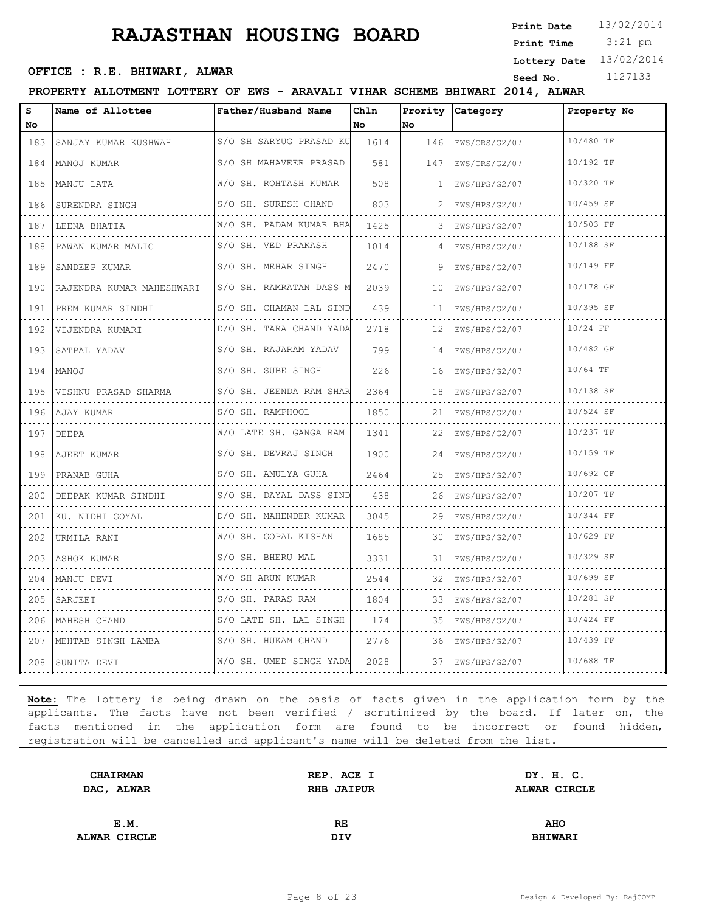3:21 pm **Print Date Print Time**

**Lottery Date** 13/02/2014

## **OFFICE : R.E. BHIWARI, ALWAR**<br>
Seed No. 1127133

#### **PROPERTY ALLOTMENT LOTTERY OF EWS - ARAVALI VIHAR SCHEME BHIWARI 2014, ALWAR**

| S<br>No                                          | Name of Allottee               | Father/Husband Name          | Chln<br>No | Prority<br>No | Category           | Property No |
|--------------------------------------------------|--------------------------------|------------------------------|------------|---------------|--------------------|-------------|
| 183                                              | SANJAY KUMAR KUSHWAH           | S/O SH SARYUG PRASAD KU      | 1614       | 146           | EWS/ORS/G2/07<br>. | 10/480 TF   |
| $\sim$ $\sim$ $\sim$ $\sim$<br>184               | MANOJ KUMAR                    | S/O SH MAHAVEER PRASAD<br>.  | 581        | 147           | EWS/ORS/G2/07      | 10/192 TF   |
| 185                                              | MANJU LATA                     | W/O SH. ROHTASH KUMAR        | 508        | 1             | EWS/HPS/G2/07      | 10/320 TF   |
| 186                                              | SURENDRA SINGH                 | S/O SH. SURESH CHAND         | 803        |               | EWS/HPS/G2/07      | 10/459 SF   |
| $\sim 100$ km s $^{-1}$<br>187                   | LEENA BHATIA                   | .<br>W/O SH. PADAM KUMAR BHA | 1425       |               | .<br>EWS/HPS/G2/07 | 10/503 FF   |
| 188                                              | PAWAN KUMAR MALIC              | .<br>S/O SH. VED PRAKASH     | 1014       | 4             | EWS/HPS/G2/07      | 10/188 SF   |
| 189                                              | SANDEEP KUMAR                  | S/O SH. MEHAR SINGH          | 2470       |               | EWS/HPS/G2/07      | 10/149 FF   |
| الداعات والمنا<br>190                            | .<br>RAJENDRA KUMAR MAHESHWARI | S/O SH. RAMRATAN DASS M<br>. | 2039       | 10            | .<br>EWS/HPS/G2/07 | 10/178 GF   |
| 191                                              | .<br>PREM KUMAR SINDHI         | S/O SH. CHAMAN LAL SIND      | 439        | 11            | EWS/HPS/G2/07      | 10/395 SF   |
| 192                                              | VIJENDRA KUMARI                | D/O SH. TARA CHAND YADA      | 2718       | 12            | EWS/HPS/G2/07      | 10/24 FF    |
| $\sim$ $\sim$ $\sim$ $\sim$<br>193               | SATPAL YADAV                   | S/O SH. RAJARAM YADAV<br>.   | 799        | 14            | .<br>EWS/HPS/G2/07 | 10/482 GF   |
| 194                                              | MANOJ                          | S/O SH. SUBE SINGH           | 226        | 16            | EWS/HPS/G2/07      | 10/64 TF    |
| 195                                              | VISHNU PRASAD SHARMA           | S/O SH. JEENDA RAM SHAR      | 2364       | 18            | EWS/HPS/G2/07      | 10/138 SF   |
| 196                                              | AJAY KUMAR                     | S/O SH. RAMPHOOL<br>.        | 1850       | 21            | .<br>EWS/HPS/G2/07 | 10/524 SF   |
| 197                                              | DEEPA                          | W/O LATE SH. GANGA RAM       | 1341       | 22            | EWS/HPS/G2/07      | 10/237 TF   |
| 198                                              | AJEET KUMAR                    | S/O SH. DEVRAJ SINGH<br>.    | 1900       | 24            | EWS/HPS/G2/07<br>. | 10/159 TF   |
| $\alpha$ is a $\alpha$<br>199                    | PRANAB GUHA                    | S/O SH. AMULYA GUHA<br>.     | 2464       | 25            | EWS/HPS/G2/07      | 10/692 GF   |
| 200                                              | DEEPAK KUMAR SINDHI            | S/O SH. DAYAL DASS SIND      | 438        | 26            | EWS/HPS/G2/07      | 10/207 TF   |
| 201                                              | KU. NIDHI GOYAL                | D/O SH. MAHENDER KUMAR<br>.  | 3045       | 29            | EWS/HPS/G2/07<br>. | 10/344 FF   |
| 202                                              | URMILA RANI                    | W/O SH. GOPAL KISHAN<br>.    | 1685       | 30            | EWS/HPS/G2/07      | 10/629 FF   |
| 203                                              | ASHOK KUMAR                    | S/O SH. BHERU MAL            | 3331       | 31            | EWS/HPS/G2/07      | 10/329 SF   |
| 204                                              | MANJU DEVI                     | W/O SH ARUN KUMAR<br>.       | 2544       | 32            | EWS/HPS/G2/07      | 10/699 SF   |
| $\omega$ , $\omega$ , $\omega$ , $\omega$<br>205 | SARJEET                        | S/O SH. PARAS RAM<br>.       | 1804       | 33            | .<br>EWS/HPS/G2/07 | 10/281 SF   |
| 206                                              | MAHESH CHAND                   | S/O LATE SH. LAL SINGH       | 174        | 35            | EWS/HPS/G2/07      | 10/424 FF   |
| 207                                              | MEHTAB SINGH LAMBA             | S/O SH. HUKAM CHAND          | 2776       | 36            | EWS/HPS/G2/07      | 10/439 FF   |
| 208                                              | SUNITA DEVI                    | W/O SH. UMED SINGH YADA      | 2028       | 37            | EWS/HPS/G2/07      | 10/688 TF   |

| DY. H. C.      |
|----------------|
| ALWAR CIRCLE   |
|                |
| <b>AHO</b>     |
|                |
| <b>BHIWARI</b> |
|                |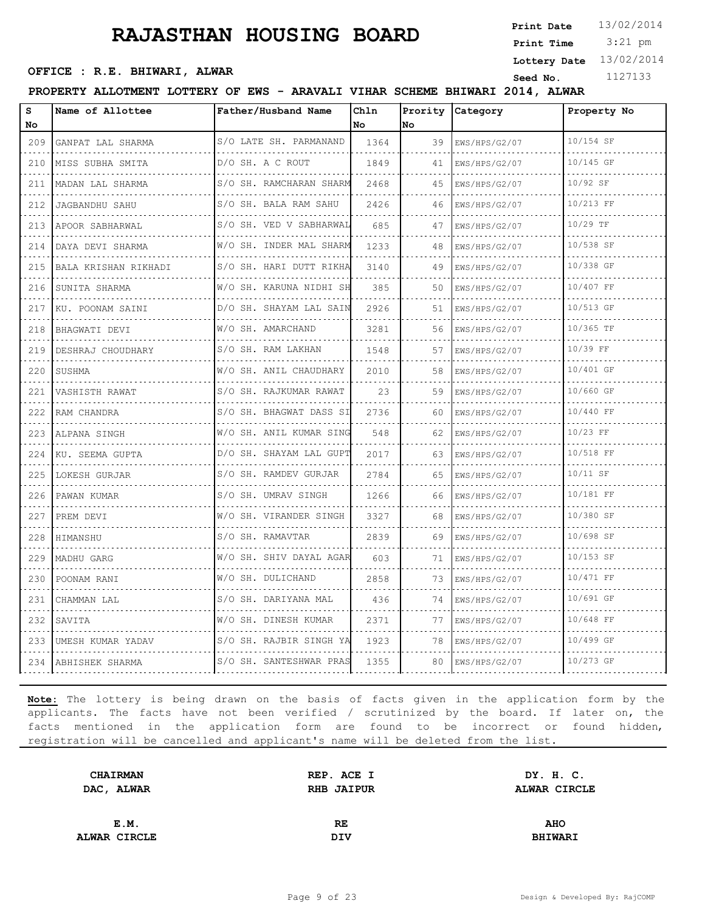3:21 pm **Print Date**  $13/02/2014$ **Print Time**

**Lottery Date** 13/02/2014

## **OFFICE : R.E. BHIWARI, ALWAR**<br>
Seed No. 1127133

#### **PROPERTY ALLOTMENT LOTTERY OF EWS - ARAVALI VIHAR SCHEME BHIWARI 2014, ALWAR**

| S<br>No.                                                                                                                                                    | Name of Allottee       | Father/Husband Name          | Chln<br>No | Prority<br><b>No</b> | Category                                        | Property No |
|-------------------------------------------------------------------------------------------------------------------------------------------------------------|------------------------|------------------------------|------------|----------------------|-------------------------------------------------|-------------|
| 209                                                                                                                                                         | GANPAT LAL SHARMA      | S/O LATE SH. PARMANAND       | 1364       | 39                   | EWS/HPS/G2/07                                   | 10/154 SF   |
| .<br>210                                                                                                                                                    | .<br>MISS SUBHA SMITA  | D/O SH. A C ROUT             | 1849       | 41                   | .<br>EWS/HPS/G2/07                              | 10/145 GF   |
| 211                                                                                                                                                         | .<br>MADAN LAL SHARMA  | S/O SH. RAMCHARAN SHARM      | 2468       | 45                   | EWS/HPS/G2/07                                   | $10/92$ SF  |
| 212                                                                                                                                                         | <b>JAGBANDHU SAHU</b>  | S/O SH. BALA RAM SAHU        | 2426       | 46                   | EWS/HPS/G2/07                                   | 10/213 FF   |
| .<br>213                                                                                                                                                    | .<br>APOOR SABHARWAL   | .<br>S/O SH. VED V SABHARWAL | 685        | 47                   | EWS/HPS/G2/07                                   | $10/29$ TF  |
| 214                                                                                                                                                         | DAYA DEVI SHARMA       | W/O SH. INDER MAL SHARM      | 1233       | 48                   | EWS/HPS/G2/07                                   | 10/538 SF   |
| 215                                                                                                                                                         | BALA KRISHAN RIKHADI   | S/O SH. HARI DUTT RIKHA      | 3140       | 49                   | EWS/HPS/G2/07                                   | 10/338 GF   |
| 216                                                                                                                                                         | SUNITA SHARMA          | W/O SH. KARUNA NIDHI SH<br>. | 385        | 50                   | EWS/HPS/G2/07                                   | 10/407 FF   |
| 217                                                                                                                                                         | .<br>KU. POONAM SAINI  | D/O SH. SHAYAM LAL SAIN      | 2926       | 51                   | EWS/HPS/G2/07                                   | 10/513 GF   |
| 218                                                                                                                                                         | BHAGWATI DEVI          | W/O SH. AMARCHAND<br>.       | 3281       | 56                   | EWS/HPS/G2/07                                   | 10/365 TF   |
| $\sim$ $\sim$ $\sim$ $\sim$<br>219                                                                                                                          | .<br>DESHRAJ CHOUDHARY | S/O SH. RAM LAKHAN           | 1548       | 57                   | a dia dia dia di<br>EWS/HPS/G2/07               | 10/39 FF    |
| 220                                                                                                                                                         | SUSHMA                 | W/O SH. ANIL CHAUDHARY       | 2010       | 58                   | EWS/HPS/G2/07                                   | 10/401 GF   |
| 221                                                                                                                                                         | VASHISTH RAWAT         | S/O SH. RAJKUMAR RAWAT       | 23         | 59                   | EWS/HPS/G2/07                                   | 10/660 GF   |
| 222                                                                                                                                                         | RAM CHANDRA            | S/O SH. BHAGWAT DASS SI<br>. | 2736       | 60                   | and a strategic control of the<br>EWS/HPS/G2/07 | 10/440 FF   |
| 223                                                                                                                                                         | ALPANA SINGH           | W/O SH. ANIL KUMAR SING      | 548        | 62                   | EWS/HPS/G2/07                                   | $10/23$ FF  |
| 224                                                                                                                                                         | KU. SEEMA GUPTA        | D/O SH. SHAYAM LAL GUPT      | 2017       | 63                   | EWS/HPS/G2/07                                   | 10/518 FF   |
| $\sim$ $\sim$ $\sim$ $\sim$<br>225                                                                                                                          | LOKESH GURJAR          | S/O SH. RAMDEV GURJAR        | 2784       | 65                   | EWS/HPS/G2/07<br>.                              | 10/11 SF    |
| 226                                                                                                                                                         | PAWAN KUMAR            | S/O SH. UMRAV SINGH          | 1266       | 66                   | EWS/HPS/G2/07                                   | 10/181 FF   |
| 227                                                                                                                                                         | PREM DEVI              | W/O SH. VIRANDER SINGH       | 3327       | 68                   | EWS/HPS/G2/07                                   | 10/380 SF   |
| $\frac{1}{2} \left( \frac{1}{2} \right) \left( \frac{1}{2} \right) \left( \frac{1}{2} \right) \left( \frac{1}{2} \right) \left( \frac{1}{2} \right)$<br>228 | HIMANSHU               | S/O SH. RAMAVTAR             | 2839       | 69                   | EWS/HPS/G2/07<br>.                              | 10/698 SF   |
| 229                                                                                                                                                         | MADHU GARG             | W/O SH. SHIV DAYAL AGAR      | 603        | 71                   | EWS/HPS/G2/07                                   | 10/153 SF   |
| 230                                                                                                                                                         | POONAM RANI            | W/O SH. DULICHAND            | 2858       | 73                   | EWS/HPS/G2/07                                   | 10/471 FF   |
| $\sim$ $\sim$ $\sim$ $\sim$<br>231                                                                                                                          | CHAMMAN LAL            | S/O SH. DARIYANA MAL<br>.    | 436        | 74                   | EWS/HPS/G2/07<br>.                              | 10/691 GF   |
| 232                                                                                                                                                         | SAVITA                 | W/O SH. DINESH KUMAR         | 2371       | 77                   | EWS/HPS/G2/07                                   | 10/648 FF   |
| 233                                                                                                                                                         | UMESH KUMAR YADAV      | S/O SH. RAJBIR SINGH YA      | 1923       | 78                   | EWS/HPS/G2/07                                   | 10/499 GF   |
| 234                                                                                                                                                         | ABHISHEK SHARMA        | S/O SH. SANTESHWAR PRAS      | 1355       | 80                   | EWS/HPS/G2/07                                   | 10/273 GF   |

| DY. H. C.      |
|----------------|
| ALWAR CIRCLE   |
|                |
| <b>AHO</b>     |
|                |
| <b>BHIWARI</b> |
|                |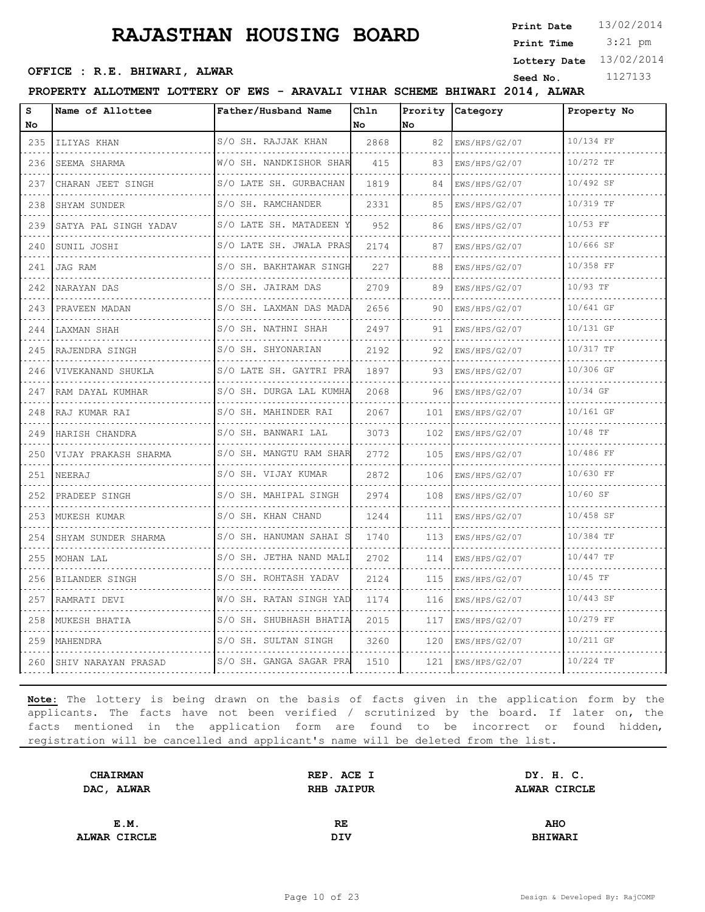3:21 pm **Print Date**  $13/02/2014$ **Print Time**

**Lottery Date** 13/02/2014

## **OFFICE : R.E. BHIWARI, ALWAR**<br>
Seed No. 1127133

**PROPERTY ALLOTMENT LOTTERY OF EWS - ARAVALI VIHAR SCHEME BHIWARI 2014, ALWAR**

| s<br>No                            | Name of Allottee             | Father/Husband Name          | Chln<br>No | Prority<br>No | Category           | Property No |
|------------------------------------|------------------------------|------------------------------|------------|---------------|--------------------|-------------|
| 235                                | ILIYAS KHAN                  | S/O SH. RAJJAK KHAN          | 2868       | 82            | EWS/HPS/G2/07      | 10/134 FF   |
| $\sim$ $\sim$ $\sim$ $\sim$<br>236 | .<br>SEEMA SHARMA            | .<br>W/O SH. NANDKISHOR SHAR | 415        | 83            | .<br>EWS/HPS/G2/07 | 10/272 TF   |
| 237                                | .<br>CHARAN JEET SINGH       | S/O LATE SH. GURBACHAN       | 1819       | 84            | EWS/HPS/G2/07      | 10/492 SF   |
| 238                                | SHYAM SUNDER                 | S/O SH. RAMCHANDER           | 2331       | 85            | EWS/HPS/G2/07      | 10/319 TF   |
| $\sim$ $\sim$ $\sim$ $\sim$<br>239 | .<br>SATYA PAL SINGH YADAV   | .<br>S/O LATE SH. MATADEEN   | 952        | 86            | EWS/HPS/G2/07      | 10/53 FF    |
| 240                                | SUNIL JOSHI                  | .<br>S/O LATE SH. JWALA PRAS | 2174       | 87            | EWS/HPS/G2/07      | 10/666 SF   |
| 241                                | JAG RAM                      | .<br>S/O SH. BAKHTAWAR SINGH | 227        | 88            | EWS/HPS/G2/07      | 10/358 FF   |
| $\sim$ $\sim$ $\sim$ $\sim$<br>242 | NARAYAN DAS                  | S/O SH. JAIRAM DAS           | 2709       | 89            | EWS/HPS/G2/07      | 10/93 TF    |
| 243                                | PRAVEEN MADAN                | S/O SH. LAXMAN DAS MADA      | 2656       | 90            | EWS/HPS/G2/07      | 10/641 GF   |
| 244                                | LAXMAN SHAH                  | S/O SH. NATHNI SHAH          | 2497       | 91            | EWS/HPS/G2/07      | 10/131 GF   |
| $\sim$ $\sim$ $\sim$ $\sim$<br>245 | .<br>RAJENDRA SINGH          | .<br>S/O SH. SHYONARIAN      | 2192       | 92            | EWS/HPS/G2/07      | 10/317 TF   |
| 246                                | VIVEKANAND SHUKLA            | S/O LATE SH. GAYTRI PRA      | 1897       | 93            | EWS/HPS/G2/07      | 10/306 GF   |
| 247                                | RAM DAYAL KUMHAR             | S/O SH. DURGA LAL KUMHA      | 2068       | 96            | EWS/HPS/G2/07<br>. | 10/34 GF    |
| .<br>248                           | RAJ KUMAR RAI                | S/O SH. MAHINDER RAI         | 2067       | 101           | EWS/HPS/G2/07      | 10/161 GF   |
| 249                                | <u>.</u> .<br>HARISH CHANDRA | .<br>S/O SH. BANWARI LAL     | 3073       | 102           | EWS/HPS/G2/07      | 10/48 TF    |
| 250                                | VIJAY PRAKASH SHARMA         | S/O SH. MANGTU RAM SHAR      | 2772       | 105           | EWS/HPS/G2/07      | 10/486 FF   |
| $\sim$ $\sim$ $\sim$ $\sim$<br>251 | NEERAJ                       | S/O SH. VIJAY KUMAR          | 2872       | 106           | EWS/HPS/G2/07      | 10/630 FF   |
| 252                                | PRADEEP SINGH                | S/O SH. MAHIPAL SINGH        | 2974       | 108           | EWS/HPS/G2/07      | 10/60 SF    |
| 253                                | MUKESH KUMAR                 | S/O SH. KHAN CHAND<br>.      | 1244       | 111           | EWS/HPS/G2/07      | 10/458 SF   |
| $\sim$ $\sim$ $\sim$ $\sim$<br>254 | SHYAM SUNDER SHARMA          | S/O SH. HANUMAN SAHAI S<br>. | 1740       | 113           | EWS/HPS/G2/07      | 10/384 TF   |
| 255                                | MOHAN LAL                    | S/O SH. JETHA NAND MALI      | 2702       | 114           | EWS/HPS/G2/07      | 10/447 TF   |
| 256                                | BILANDER SINGH               | S/O SH. ROHTASH YADAV<br>.   | 2124       | 115           | EWS/HPS/G2/07      | $10/45$ TF  |
| .<br>257                           | RAMRATI DEVI                 | W/O SH. RATAN SINGH YAD      | 1174       | .<br>116      | .<br>EWS/HPS/G2/07 | 10/443 SF   |
| 258                                | MUKESH BHATIA                | S/O SH. SHUBHASH BHATIA      | 2015       | 117           | EWS/HPS/G2/07      | 10/279 FF   |
| 259                                | MAHENDRA                     | S/O SH. SULTAN SINGH         | 3260       | 120           | EWS/HPS/G2/07      | 10/211 GF   |
| 260                                | SHIV NARAYAN PRASAD          | S/O SH. GANGA SAGAR PRA      | 1510       | 121           | EWS/HPS/G2/07      | 10/224 TF   |

| <b>CHAIRMAN</b>     | REP. ACE I        | DY. H. C.      |  |
|---------------------|-------------------|----------------|--|
| DAC, ALWAR          | <b>RHB JAIPUR</b> | ALWAR CIRCLE   |  |
|                     |                   |                |  |
| E.M.                | RE.               | <b>AHO</b>     |  |
| <b>ALWAR CIRCLE</b> | DIV               | <b>BHIWARI</b> |  |
|                     |                   |                |  |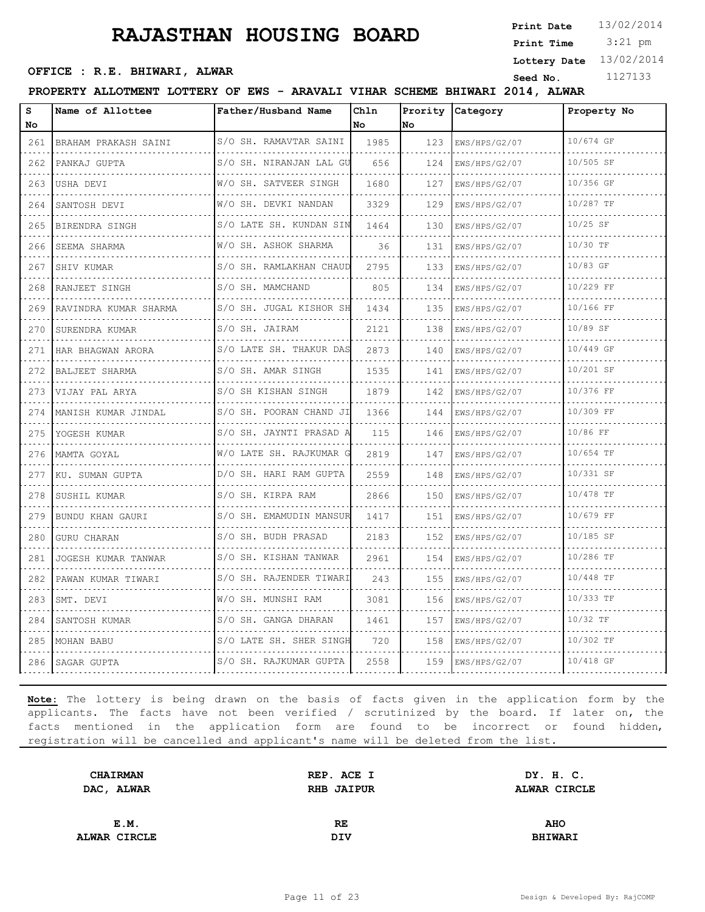3:21 pm **Print Date Print Time**

**Lottery Date** 13/02/2014

## **OFFICE : R.E. BHIWARI, ALWAR**<br>
Seed No. 1127133

#### **PROPERTY ALLOTMENT LOTTERY OF EWS - ARAVALI VIHAR SCHEME BHIWARI 2014, ALWAR**

| S<br>No                                                                                                                          | Name of Allottee      | Father/Husband Name              | Chln<br>No | Prority<br>No | Category           | Property No |
|----------------------------------------------------------------------------------------------------------------------------------|-----------------------|----------------------------------|------------|---------------|--------------------|-------------|
| 261                                                                                                                              | BRAHAM PRAKASH SAINI  | S/O SH. RAMAVTAR SAINI           | 1985       | 123           | EWS/HPS/G2/07      | 10/674 GF   |
| 262                                                                                                                              | PANKAJ GUPTA          | S/O SH. NIRANJAN LAL GU          | 656        | 124           | .<br>EWS/HPS/G2/07 | 10/505 SF   |
| 263                                                                                                                              | USHA DEVI             | .<br>W/O SH. SATVEER SINGH       | 1680       | 127           | EWS/HPS/G2/07      | 10/356 GF   |
| 264                                                                                                                              | SANTOSH DEVI          | W/O SH. DEVKI NANDAN             | 3329       | 129           | EWS/HPS/G2/07      | 10/287 TF   |
| $\frac{1}{2} \left( \frac{1}{2} \right) \left( \frac{1}{2} \right) \left( \frac{1}{2} \right) \left( \frac{1}{2} \right)$<br>265 | BIRENDRA SINGH        | .<br>S/O LATE SH. KUNDAN SIN     | 1464       | 130           | EWS/HPS/G2/07      | $10/25$ SF  |
| 266                                                                                                                              | SEEMA SHARMA          | <u>.</u><br>W/O SH. ASHOK SHARMA | 36         | 131           | EWS/HPS/G2/07      | 10/30 TF    |
| 267                                                                                                                              | SHIV KUMAR            | S/O SH. RAMLAKHAN CHAUD          | 2795       | 133           | EWS/HPS/G2/07      | 10/83 GF    |
| $\omega$ , $\omega$ , $\omega$ , $\omega$<br>268                                                                                 | RANJEET SINGH         | .<br>S/O SH. MAMCHAND            | 805        | 134           | EWS/HPS/G2/07      | 10/229 FF   |
| 269                                                                                                                              | RAVINDRA KUMAR SHARMA | .<br>S/O SH. JUGAL KISHOR SH     | 1434       | 135           | EWS/HPS/G2/07      | 10/166 FF   |
| 270                                                                                                                              | SURENDRA KUMAR        | S/O SH. JAIRAM<br>.              | 2121       | 138           | EWS/HPS/G2/07      | 10/89 SF    |
| $\sim$ $\sim$ $\sim$ $\sim$<br>271                                                                                               | HAR BHAGWAN ARORA     | S/O LATE SH. THAKUR DAS          | 2873       | 140           | EWS/HPS/G2/07      | 10/449 GF   |
| 272                                                                                                                              | BALJEET SHARMA        | .<br>S/O SH. AMAR SINGH          | 1535       | 141           | EWS/HPS/G2/07      | 10/201 SF   |
| 273                                                                                                                              | VIJAY PAL ARYA        | S/O SH KISHAN SINGH              | 1879       | 142           | EWS/HPS/G2/07      | 10/376 FF   |
| $\omega_{\alpha}=\omega_{\alpha}=\omega_{\alpha}$<br>274                                                                         | MANISH KUMAR JINDAL   | S/O SH. POORAN CHAND JI          | 1366       | 144           | EWS/HPS/G2/07      | 10/309 FF   |
| 275                                                                                                                              | YOGESH KUMAR          | S/O SH. JAYNTI PRASAD A          | 115        | 146           | EWS/HPS/G2/07      | 10/86 FF    |
| 276                                                                                                                              | MAMTA GOYAL           | W/O LATE SH. RAJKUMAR G          | 2819       | 147           | EWS/HPS/G2/07      | 10/654 TF   |
| $\omega$ is a set<br>277                                                                                                         | KU. SUMAN GUPTA       | D/O SH. HARI RAM GUPTA           | 2559       | 148           | EWS/HPS/G2/07      | 10/331 SF   |
| 278                                                                                                                              | SUSHIL KUMAR          | .<br>S/O SH. KIRPA RAM           | 2866       | 150           | EWS/HPS/G2/07      | 10/478 TF   |
| 279                                                                                                                              | BUNDU KHAN GAURI      | S/O SH. EMAMUDIN MANSUR          | 1417       | 151           | EWS/HPS/G2/07      | 10/679 FF   |
| $\sim$ $\sim$ $\sim$<br>280                                                                                                      | <b>GURU CHARAN</b>    | S/O SH. BUDH PRASAD              | 2183       | 152           | EWS/HPS/G2/07      | 10/185 SF   |
| 281                                                                                                                              | JOGESH KUMAR TANWAR   | S/O SH. KISHAN TANWAR            | 2961       | 154           | EWS/HPS/G2/07      | 10/286 TF   |
| 282                                                                                                                              | PAWAN KUMAR TIWARI    | S/O SH. RAJENDER TIWARI          | 243        | 155           | EWS/HPS/G2/07      | 10/448 TF   |
| $\omega_{\rm c} = \omega_{\rm c} = \omega_{\rm c}$<br>283                                                                        | SMT. DEVI             | W/O SH. MUNSHI RAM               | 3081       | 156           | EWS/HPS/G2/07      | 10/333 TF   |
| 284                                                                                                                              | SANTOSH KUMAR         | S/O SH. GANGA DHARAN             | 1461       | 157           | EWS/HPS/G2/07      | $10/32$ TF  |
| 285<br>$-1 - 1 - 1$                                                                                                              | MOHAN BABU            | S/O LATE SH. SHER SINGH          | 720        | 158           | EWS/HPS/G2/07      | 10/302 TF   |
| 286                                                                                                                              | SAGAR GUPTA           | S/O SH. RAJKUMAR GUPTA           | 2558       | 159           | EWS/HPS/G2/07      | 10/418 GF   |

| <b>CHAIRMAN</b> | REP. ACE I        | DY. H. C.      |  |
|-----------------|-------------------|----------------|--|
| DAC, ALWAR      | <b>RHB JAIPUR</b> | ALWAR CIRCLE   |  |
|                 |                   |                |  |
| E.M.            | RE.               | <b>AHO</b>     |  |
| ALWAR CIRCLE    | DIV               | <b>BHIWARI</b> |  |
|                 |                   |                |  |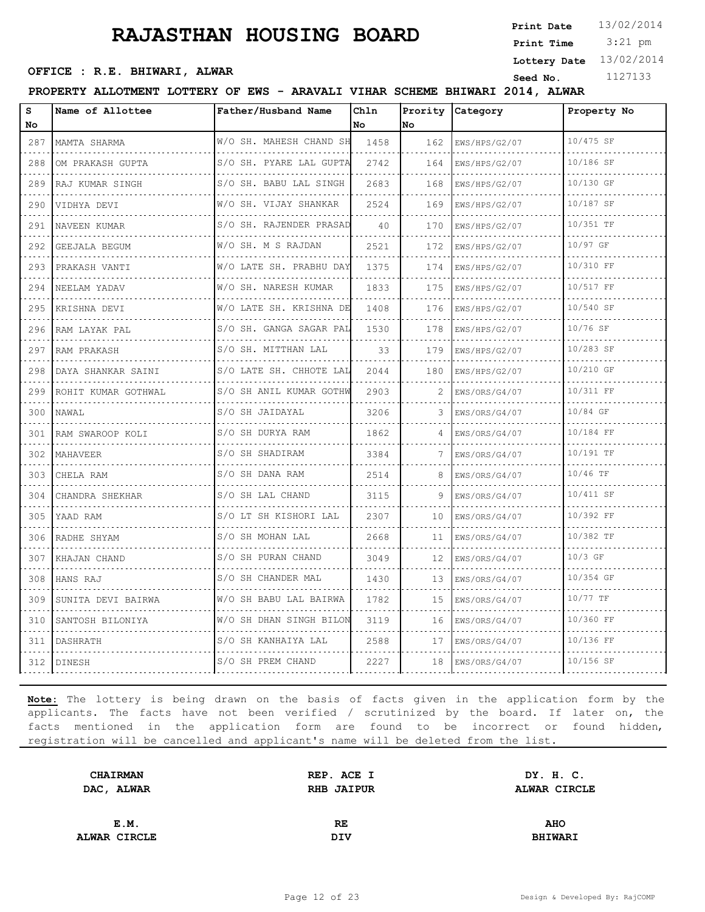3:21 pm **Print Date**  $13/02/2014$ **Print Time**

**Lottery Date** 13/02/2014

## **OFFICE : R.E. BHIWARI, ALWAR**<br>
Seed No. 1127133

#### **PROPERTY ALLOTMENT LOTTERY OF EWS - ARAVALI VIHAR SCHEME BHIWARI 2014, ALWAR**

| S<br>No                                                                                                                                                     | Name of Allottee      | Father/Husband Name          | Chln<br>No | Prority<br>No. | Category           | Property No    |
|-------------------------------------------------------------------------------------------------------------------------------------------------------------|-----------------------|------------------------------|------------|----------------|--------------------|----------------|
| 287                                                                                                                                                         | MAMTA SHARMA          | W/O SH. MAHESH CHAND SH      | 1458       | 162            | EWS/HPS/G2/07      | 10/475 SF      |
| .<br>288                                                                                                                                                    | .<br>OM PRAKASH GUPTA | S/O SH. PYARE LAL GUPTA      | 2742       | .<br>164       | .<br>EWS/HPS/G2/07 | .<br>10/186 SF |
| 289                                                                                                                                                         | RAJ KUMAR SINGH       | .<br>S/O SH. BABU LAL SINGH  | 2683       | 168            | .<br>EWS/HPS/G2/07 | 10/130 GF      |
| 290                                                                                                                                                         | VIDHYA DEVI           | W/O SH. VIJAY SHANKAR        | 2524       | 169            | EWS/HPS/G2/07      | 10/187 SF      |
| $\frac{1}{2} \left( \frac{1}{2} \right) \left( \frac{1}{2} \right) \left( \frac{1}{2} \right) \left( \frac{1}{2} \right) \left( \frac{1}{2} \right)$<br>291 | .<br>NAVEEN KUMAR     | .<br>S/O SH. RAJENDER PRASAD | 40         | 170            | .<br>EWS/HPS/G2/07 | 10/351 TF      |
| 292                                                                                                                                                         | <b>GEEJALA BEGUM</b>  | .<br>W/O SH. M S RAJDAN      | 2521       | 172            | EWS/HPS/G2/07      | 10/97 GF       |
| 293                                                                                                                                                         | PRAKASH VANTI         | W/O LATE SH. PRABHU DAY      | 1375       | 174            | EWS/HPS/G2/07      | 10/310 FF      |
| $\mathcal{L}^{\mathcal{A}}\left( \mathcal{A}^{\mathcal{A}}\right) =\mathcal{L}^{\mathcal{A}}\left( \mathcal{A}^{\mathcal{A}}\right)$<br>294                 | NEELAM YADAV          | .<br>W/O SH. NARESH KUMAR    | 1833       | 175            | EWS/HPS/G2/07<br>. | 10/517 FF      |
| 295                                                                                                                                                         | .<br>KRISHNA DEVI     | W/O LATE SH. KRISHNA DE      | 1408       | 176            | EWS/HPS/G2/07      | 10/540 SF      |
| 296                                                                                                                                                         | RAM LAYAK PAL         | S/O SH. GANGA SAGAR PAL      | 1530       | 178            | EWS/HPS/G2/07      | 10/76 SF       |
| $\sim$ $\sim$ $\sim$ $\sim$<br>297                                                                                                                          | RAM PRAKASH           | S/O SH. MITTHAN LAL          | 33         | 179            | EWS/HPS/G2/07      | 10/283 SF      |
| 298                                                                                                                                                         | DAYA SHANKAR SAINI    | S/O LATE SH. CHHOTE LAL      | 2044       | 180            | EWS/HPS/G2/07      | 10/210 GF      |
| 299                                                                                                                                                         | ROHIT KUMAR GOTHWAL   | S/O SH ANIL KUMAR GOTHW      | 2903       |                | EWS/ORS/G4/07      | 10/311 FF      |
| $\sim$ $\sim$ $\sim$ $\sim$<br>300                                                                                                                          | NAWAL                 | S/O SH JAIDAYAL              | 3206       | 3              | EWS/ORS/G4/07      | 10/84 GF       |
| 301                                                                                                                                                         | RAM SWAROOP KOLI      | S/O SH DURYA RAM             | 1862       | 4              | EWS/ORS/G4/07      | 10/184 FF      |
| 302                                                                                                                                                         | MAHAVEER              | S/O SH SHADIRAM              | 3384       |                | EWS/ORS/G4/07      | 10/191 TF      |
| 303                                                                                                                                                         | CHELA RAM             | S/O SH DANA RAM              | 2514       | 8              | EWS/ORS/G4/07      | 10/46 TF       |
| 304                                                                                                                                                         | CHANDRA SHEKHAR       | S/O SH LAL CHAND             | 3115       | 9              | EWS/ORS/G4/07      | 10/411 SF      |
| 305                                                                                                                                                         | YAAD RAM              | S/O LT SH KISHORI LAL        | 2307       | 10             | EWS/ORS/G4/07      | 10/392 FF      |
| 306                                                                                                                                                         | RADHE SHYAM           | S/O SH MOHAN LAL             | 2668       | 11             | EWS/ORS/G4/07      | 10/382 TF      |
| 307                                                                                                                                                         | KHAJAN CHAND          | S/O SH PURAN CHAND           | 3049       | 12             | EWS/ORS/G4/07      | $10/3$ GF      |
| 308                                                                                                                                                         | HANS RAJ              | S/O SH CHANDER MAL           | 1430       | 13             | EWS/ORS/G4/07      | 10/354 GF      |
| 309                                                                                                                                                         | SUNITA DEVI BAIRWA    | W/O SH BABU LAL BAIRWA       | 1782       | 15             | EWS/ORS/G4/07      | 10/77 TF       |
| 310                                                                                                                                                         | SANTOSH BILONIYA      | W/O SH DHAN SINGH BILON      | 3119       | 16             | EWS/ORS/G4/07      | 10/360 FF      |
| <b>Service</b><br>311                                                                                                                                       | DASHRATH              | S/O SH KANHAIYA LAL          | 2588       | 17             | EWS/ORS/G4/07      | 10/136 FF      |
|                                                                                                                                                             | 312   DINESH          | S/O SH PREM CHAND            | 2227       | 18             | EWS/ORS/G4/07      | 10/156 SF      |

| <b>CHAIRMAN</b> | REP. ACE I        | DY. H. C.      |  |
|-----------------|-------------------|----------------|--|
| DAC, ALWAR      | <b>RHB JAIPUR</b> | ALWAR CIRCLE   |  |
|                 |                   |                |  |
| E.M.            | RE.               | <b>AHO</b>     |  |
|                 |                   |                |  |
| ALWAR CIRCLE    | DIV               | <b>BHIWARI</b> |  |
|                 |                   |                |  |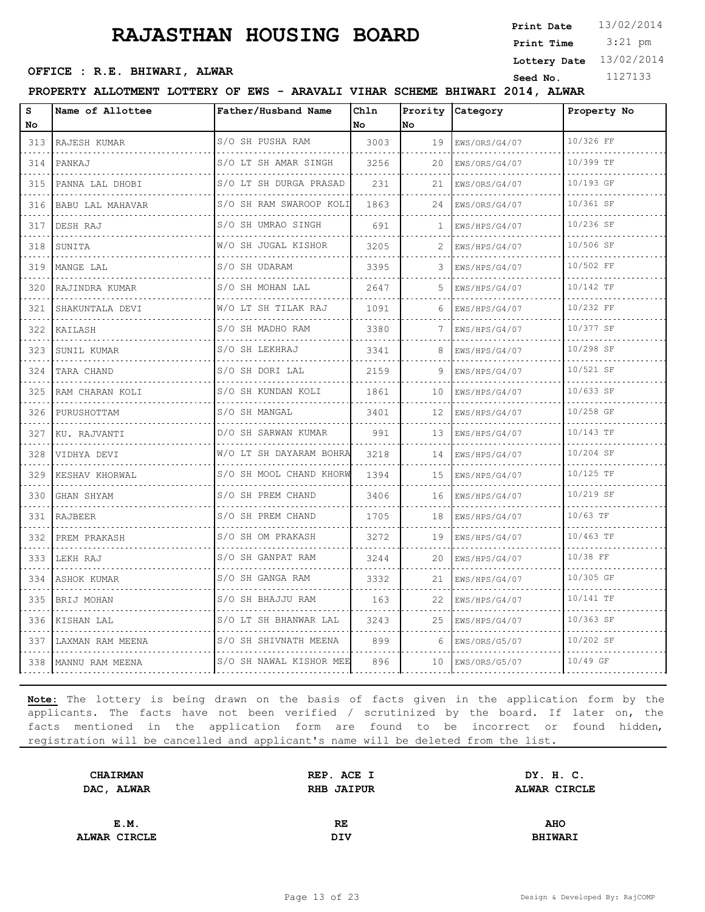3:21 pm **Print Date Print Time**

**Lottery Date** 13/02/2014

## **OFFICE : R.E. BHIWARI, ALWAR**<br>
Seed No. 1127133

#### **PROPERTY ALLOTMENT LOTTERY OF EWS - ARAVALI VIHAR SCHEME BHIWARI 2014, ALWAR**

| s<br>No | Name of Allottee      | Father/Husband Name             | Chln<br>l No | Prority<br>No | Category           | Property No |
|---------|-----------------------|---------------------------------|--------------|---------------|--------------------|-------------|
| 313     | RAJESH KUMAR          | S/O SH PUSHA RAM                | 3003         | 19            | EWS/ORS/G4/07      | 10/326 FF   |
| 314     | PANKAJ                | .<br>S/O LT SH AMAR SINGH<br>.  | 3256         | 20            | .<br>EWS/ORS/G4/07 | 10/399 TF   |
| 315     | PANNA LAL DHOBI       | S/O LT SH DURGA PRASAD          | 231          | 21            | EWS/ORS/G4/07      | 10/193 GF   |
| 316     | BABU LAL MAHAVAR      | S/O SH RAM SWAROOP KOLI         | 1863         | 24            | EWS/ORS/G4/07      | 10/361 SF   |
| 317     | DESH RAJ              | S/O SH UMRAO SINGH              | 691          | 1             | EWS/HPS/G4/07      | 10/236 SF   |
| 318     | SUNITA                | <u>.</u><br>W/O SH JUGAL KISHOR | 3205         |               | EWS/HPS/G4/07      | 10/506 SF   |
| 319     | MANGE LAL             | S/O SH UDARAM                   | 3395         | 3             | EWS/HPS/G4/07      | 10/502 FF   |
| 320     | RAJINDRA KUMAR        | .<br>S/O SH MOHAN LAL           | 2647         | 5.            | .<br>EWS/HPS/G4/07 | 10/142 TF   |
| 321     | SHAKUNTALA DEVI       | W/O LT SH TILAK RAJ             | 1091         | 6             | EWS/HPS/G4/07      | 10/232 FF   |
| 322     | KAILASH               | S/O SH MADHO RAM                | 3380         | 7             | EWS/HPS/G4/07      | 10/377 SF   |
| 323     | SUNIL KUMAR           | S/O SH LEKHRAJ                  | 3341         | 8             | .<br>EWS/HPS/G4/07 | 10/298 SF   |
| 324     | TARA CHAND            | S/O SH DORI LAL                 | 2159         | 9             | EWS/HPS/G4/07      | 10/521 SF   |
| 325     | RAM CHARAN KOLI       | S/O SH KUNDAN KOLI              | 1861         | 10            | EWS/HPS/G4/07<br>. | 10/633 SF   |
| 326     | PURUSHOTTAM           | S/O SH MANGAL                   | 3401         | 12            | EWS/HPS/G4/07      | 10/258 GF   |
| 327     | KU. RAJVANTI          | D/O SH SARWAN KUMAR             | 991          | 13            | EWS/HPS/G4/07      | 10/143 TF   |
| 328     | VIDHYA DEVI           | W/O LT SH DAYARAM BOHRA         | 3218         | 14            | EWS/HPS/G4/07<br>. | 10/204 SF   |
| 329     | KESHAV KHORWAL        | S/O SH MOOL CHAND KHORW         | 1394         | 15            | EWS/HPS/G4/07      | 10/125 TF   |
| 330     | GHAN SHYAM            | .<br>S/O SH PREM CHAND          | 3406         | 16            | EWS/HPS/G4/07      | 10/219 SF   |
| 331     | RAJBEER               | S/O SH PREM CHAND               | 1705         | 18            | EWS/HPS/G4/07      | 10/63 TF    |
| 332     | PREM PRAKASH          | S/O SH OM PRAKASH<br><u>.</u>   | 3272         | 19            | EWS/HPS/G4/07      | 10/463 TF   |
| 333     | LEKH RAJ              | S/O SH GANPAT RAM               | 3244         | 20            | EWS/HPS/G4/07      | 10/38 FF    |
| 334     | ASHOK KUMAR           | S/O SH GANGA RAM<br>.           | 3332         | 21            | EWS/HPS/G4/07      | 10/305 GF   |
| 335     | BRIJ MOHAN            | S/O SH BHAJJU RAM               | 163          | 22            | EWS/HPS/G4/07      | 10/141 TF   |
| 336     | KISHAN LAL            | S/O LT SH BHANWAR LAL           | 3243         | 25            | EWS/HPS/G4/07      | 10/363 SF   |
| 337     | LAXMAN RAM MEENA      | S/O SH SHIVNATH MEENA           | 899          | 6             | EWS/ORS/G5/07      | 10/202 SF   |
|         | 338   MANNU RAM MEENA | S/O SH NAWAL KISHOR MEE         | 896          | 10            | EWS/ORS/G5/07      | 10/49 GF    |

| REP. ACE I        | DY. H. C.      |  |
|-------------------|----------------|--|
| <b>RHB JAIPUR</b> | ALWAR CIRCLE   |  |
|                   |                |  |
| RE.               | <b>AHO</b>     |  |
| DIV               | <b>BHIWARI</b> |  |
|                   |                |  |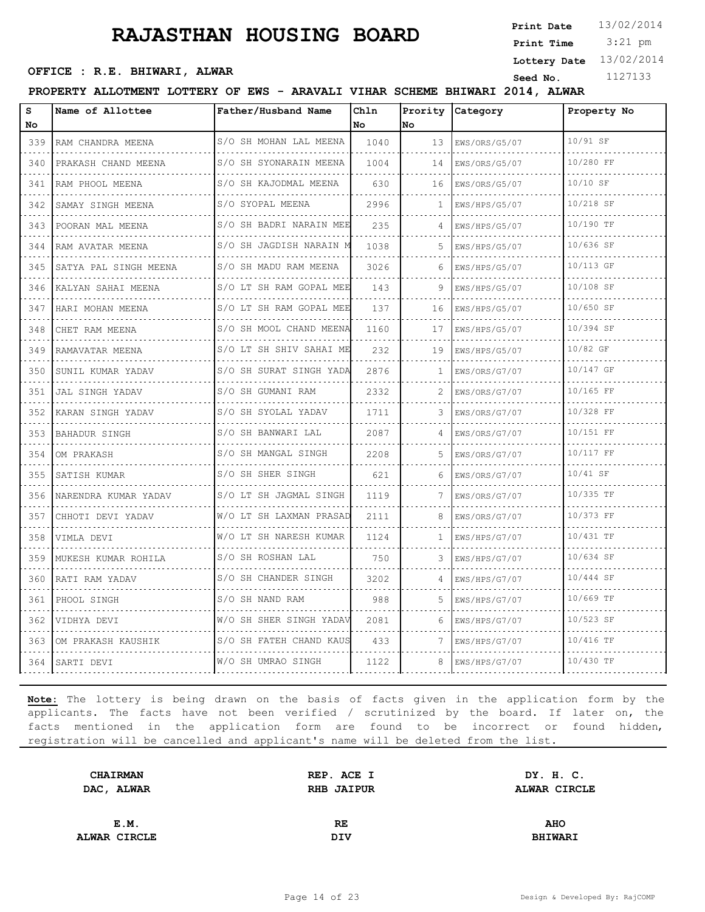3:21 pm **Print Date Print Time**

**Lottery Date** 13/02/2014

## **OFFICE : R.E. BHIWARI, ALWAR**<br>
Seed No. 1127133

#### **PROPERTY ALLOTMENT LOTTERY OF EWS - ARAVALI VIHAR SCHEME BHIWARI 2014, ALWAR**

| S<br>No                                                                                                                          | Name of Allottee          | Father/Husband Name          | Chln<br>No. | Prority<br>No | Category           | Property No |
|----------------------------------------------------------------------------------------------------------------------------------|---------------------------|------------------------------|-------------|---------------|--------------------|-------------|
| 339                                                                                                                              | RAM CHANDRA MEENA         | S/O SH MOHAN LAL MEENA       | 1040        | 13            | EWS/ORS/G5/07      | 10/91 SF    |
| 340                                                                                                                              | PRAKASH CHAND MEENA       | S/O SH SYONARAIN MEENA       | 1004        | 14            | .<br>EWS/ORS/G5/07 | 10/280 FF   |
| 341                                                                                                                              | RAM PHOOL MEENA           | .<br>S/O SH KAJODMAL MEENA   | 630         | 16            | EWS/ORS/G5/07      | $10/10$ SF  |
| 342                                                                                                                              | SAMAY SINGH MEENA         | S/O SYOPAL MEENA             | 2996        | 1             | EWS/HPS/G5/07      | 10/218 SF   |
| $- - - -$<br>343                                                                                                                 | POORAN MAL MEENA          | .<br>S/O SH BADRI NARAIN MEE | 235         |               | EWS/HPS/G5/07      | 10/190 TF   |
| 344                                                                                                                              | RAM AVATAR MEENA          | .<br>S/O SH JAGDISH NARAIN M | 1038        | 5.            | EWS/HPS/G5/07      | 10/636 SF   |
| 345                                                                                                                              | SATYA PAL SINGH MEENA     | S/O SH MADU RAM MEENA        | 3026        | 6             | EWS/HPS/G5/07      | 10/113 GF   |
| $\omega_{\rm{c}} = \omega_{\rm{c}} = \omega_{\rm{c}}$<br>346                                                                     | KALYAN SAHAI MEENA        | S/O LT SH RAM GOPAL MEE      | 143         |               | EWS/HPS/G5/07      | 10/108 SF   |
| 347                                                                                                                              | HARI MOHAN MEENA          | .<br>S/O LT SH RAM GOPAL MEE | 137         | 16            | EWS/HPS/G5/07      | 10/650 SF   |
| 348                                                                                                                              | CHET RAM MEENA            | S/O SH MOOL CHAND MEENA      | 1160        | 17            | EWS/HPS/G5/07      | 10/394 SF   |
| 349                                                                                                                              | RAMAVATAR MEENA           | S/O LT SH SHIV SAHAI ME      | 232         | 19            | EWS/HPS/G5/07      | 10/82 GF    |
| 350                                                                                                                              | SUNIL KUMAR YADAV         | .<br>S/O SH SURAT SINGH YADA | 2876        | 1             | EWS/ORS/G7/07      | 10/147 GF   |
| 351                                                                                                                              | JAL SINGH YADAV           | S/O SH GUMANI RAM            | 2332        | 2             | EWS/ORS/G7/07      | 10/165 FF   |
| $- - - - -$<br>352                                                                                                               | KARAN SINGH YADAV         | S/O SH SYOLAL YADAV          | 1711        |               | EWS/ORS/G7/07      | 10/328 FF   |
| 353                                                                                                                              | BAHADUR SINGH             | S/O SH BANWARI LAL           | 2087        | 4             | EWS/ORS/G7/07      | 10/151 FF   |
| 354                                                                                                                              | OM PRAKASH                | S/O SH MANGAL SINGH<br>.     | 2208        | .5            | EWS/ORS/G7/07      | 10/117 FF   |
| $- - - - -$<br>355                                                                                                               | SATISH KUMAR              | S/O SH SHER SINGH            | 621         |               | .<br>EWS/ORS/G7/07 | $10/41$ SF  |
| 356                                                                                                                              | NARENDRA KUMAR YADAV<br>. | S/O LT SH JAGMAL SINGH       | 1119        | 7             | EWS/ORS/G7/07      | 10/335 TF   |
| 357                                                                                                                              | CHHOTI DEVI YADAV         | W/O LT SH LAXMAN PRASAD      | 2111        | 8             | EWS/ORS/G7/07      | 10/373 FF   |
| $\frac{1}{2} \left( \frac{1}{2} \right) \left( \frac{1}{2} \right) \left( \frac{1}{2} \right) \left( \frac{1}{2} \right)$<br>358 | VIMLA DEVI                | W/O LT SH NARESH KUMAR       | 1124        | 1             | EWS/HPS/G7/07      | 10/431 TF   |
| 359                                                                                                                              | MUKESH KUMAR ROHILA       | S/O SH ROSHAN LAL            | 750         | 3             | EWS/HPS/G7/07      | 10/634 SF   |
| 360                                                                                                                              | RATI RAM YADAV            | S/O SH CHANDER SINGH         | 3202        |               | EWS/HPS/G7/07      | 10/444 SF   |
| $\omega = \omega - \omega - \omega$<br>361                                                                                       | PHOOL SINGH               | S/O SH NAND RAM              | 988         | 5             | EWS/HPS/G7/07      | 10/669 TF   |
| 362                                                                                                                              | VIDHYA DEVI               | W/O SH SHER SINGH YADAV      | 2081        | 6             | EWS/HPS/G7/07      | 10/523 SF   |
| 363                                                                                                                              | OM PRAKASH KAUSHIK        | S/O SH FATEH CHAND KAUS      | 433         | 7             | EWS/HPS/G7/07      | 10/416 TF   |
| 364 l                                                                                                                            | SARTI DEVI                | W/O SH UMRAO SINGH           | 1122        |               | EWS/HPS/G7/07      | 10/430 TF   |

| REP. ACE I        | DY. H. C.      |  |
|-------------------|----------------|--|
| <b>RHB JAIPUR</b> | ALWAR CIRCLE   |  |
|                   |                |  |
| RE.               | <b>AHO</b>     |  |
| DIV               | <b>BHIWARI</b> |  |
|                   |                |  |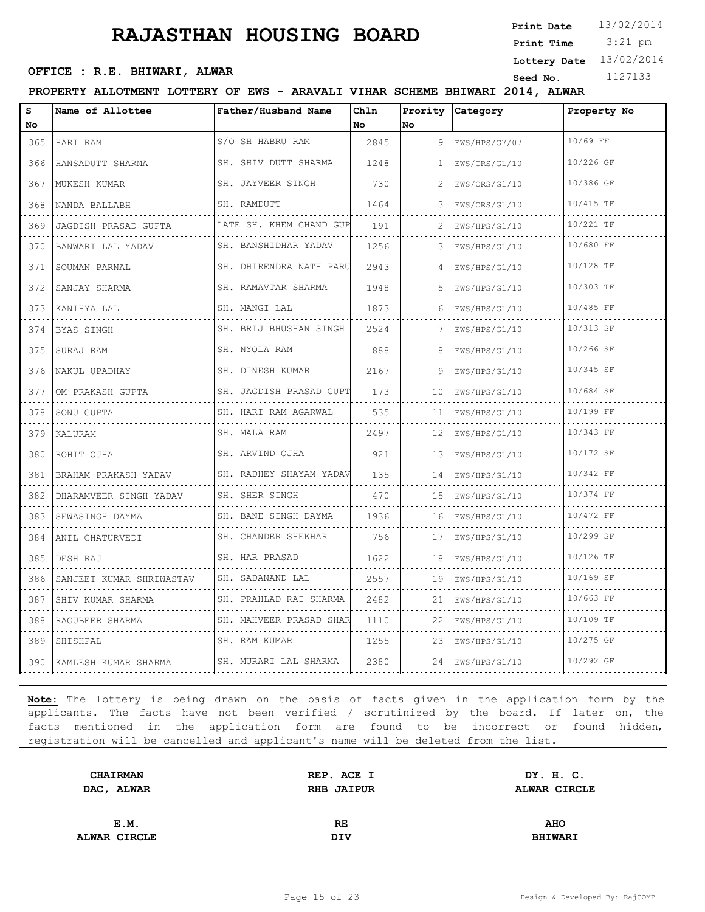3:21 pm **Print Date Print Time**

## **OFFICE : R.E. BHIWARI, ALWAR**<br>
Seed No. 1127133

**Lottery Date** 13/02/2014

#### **PROPERTY ALLOTMENT LOTTERY OF EWS - ARAVALI VIHAR SCHEME BHIWARI 2014, ALWAR**

| S<br>No                                                                                                                                     | Name of Allottee          | Father/Husband Name                    | Chln<br>No | Prority<br>lNo. | Category           | Property No |
|---------------------------------------------------------------------------------------------------------------------------------------------|---------------------------|----------------------------------------|------------|-----------------|--------------------|-------------|
| 365                                                                                                                                         | HARI RAM                  | S/O SH HABRU RAM                       | 2845       | 9               | EWS/HPS/G7/07      | 10/69 FF    |
| .<br>366                                                                                                                                    | .<br>HANSADUTT SHARMA     | SH. SHIV DUTT SHARMA                   | 1248       | 1               | .<br>EWS/ORS/G1/10 | 10/226 GF   |
| 367                                                                                                                                         | MUKESH KUMAR              | SH. JAYVEER SINGH                      | 730        |                 | EWS/ORS/G1/10      | 10/386 GF   |
| 368                                                                                                                                         | NANDA BALLABH             | SH. RAMDUTT                            | 1464       | 3               | EWS/ORS/G1/10      | 10/415 TF   |
| 369                                                                                                                                         | .<br>JAGDISH PRASAD GUPTA | LATE SH. KHEM CHAND GUP                | 191        | 2               | EWS/HPS/G1/10      | 10/221 TF   |
| 370                                                                                                                                         | BANWARI LAL YADAV         | . . <b>.</b> .<br>SH. BANSHIDHAR YADAV | 1256       | 3               | EWS/HPS/G1/10      | 10/680 FF   |
| 371                                                                                                                                         | SOUMAN PARNAL             | SH. DHIRENDRA NATH PARU                | 2943       |                 | EWS/HPS/G1/10      | 10/128 TF   |
| $\omega$ is a $\omega$<br>372                                                                                                               | SANJAY SHARMA             | SH. RAMAVTAR SHARMA<br>.               | 1948       | 5.              | .<br>EWS/HPS/G1/10 | 10/303 TF   |
| 373                                                                                                                                         | KANIHYA LAL               | SH. MANGI LAL                          | 1873       | 6               | EWS/HPS/G1/10      | 10/485 FF   |
| 374                                                                                                                                         | BYAS SINGH                | SH. BRIJ BHUSHAN SINGH                 | 2524       | 7               | EWS/HPS/G1/10      | 10/313 SF   |
| $\mathcal{L}^{\mathcal{A}}\left( \mathcal{A}^{\mathcal{A}}\right) =\mathcal{L}^{\mathcal{A}}\left( \mathcal{A}^{\mathcal{A}}\right)$<br>375 | SURAJ RAM                 | SH. NYOLA RAM                          | 888        |                 | EWS/HPS/G1/10      | 10/266 SF   |
| 376                                                                                                                                         | NAKUL UPADHAY             | SH. DINESH KUMAR                       | 2167       | 9               | EWS/HPS/G1/10      | 10/345 SF   |
| 377                                                                                                                                         | OM PRAKASH GUPTA          | SH. JAGDISH PRASAD GUPT<br>.           | 173        | 10              | EWS/HPS/G1/10      | 10/684 SF   |
| $\omega_{\rm c} = \omega_{\rm c} = \omega_{\rm c}$<br>378                                                                                   | SONU GUPTA                | SH. HARI RAM AGARWAL                   | 535        | 11              | EWS/HPS/G1/10      | 10/199 FF   |
| 379                                                                                                                                         | KALURAM                   | SH. MALA RAM                           | 2497       | 12              | EWS/HPS/G1/10      | 10/343 FF   |
| 380                                                                                                                                         | ROHIT OJHA                | SH. ARVIND OJHA                        | 921        | 13              | EWS/HPS/G1/10      | 10/172 SF   |
| $\mathcal{L}^{\mathcal{A}}\left( \mathcal{A}^{\mathcal{A}}\right) =\mathcal{L}^{\mathcal{A}}\left( \mathcal{A}^{\mathcal{A}}\right)$<br>381 | BRAHAM PRAKASH YADAV      | SH. RADHEY SHAYAM YADAV                | 135        | 14              | EWS/HPS/G1/10      | 10/342 FF   |
| 382                                                                                                                                         | DHARAMVEER SINGH YADAV    | SH. SHER SINGH                         | 470        | 15              | EWS/HPS/G1/10      | 10/374 FF   |
| 383                                                                                                                                         | SEWASINGH DAYMA           | SH. BANE SINGH DAYMA<br>.              | 1936       | 16              | EWS/HPS/G1/10      | 10/472 FF   |
| $\sim$ $\sim$ $\sim$<br>384                                                                                                                 | ANIL CHATURVEDI           | SH. CHANDER SHEKHAR                    | 756        | 17              | EWS/HPS/G1/10      | 10/299 SF   |
| 385                                                                                                                                         | DESH RAJ                  | SH. HAR PRASAD                         | 1622       | 18              | EWS/HPS/G1/10      | 10/126 TF   |
| 386                                                                                                                                         | SANJEET KUMAR SHRIWASTAV  | SH. SADANAND LAL<br>.                  | 2557       | 19              | EWS/HPS/G1/10      | 10/169 SF   |
| $\omega$ , $\omega$ , $\omega$ , $\omega$<br>387                                                                                            | SHIV KUMAR SHARMA         | SH. PRAHLAD RAI SHARMA                 | 2482       | 21              | EWS/HPS/G1/10      | 10/663 FF   |
| 388                                                                                                                                         | RAGUBEER SHARMA           | SH. MAHVEER PRASAD SHAR                | 1110       | 22              | EWS/HPS/G1/10      | 10/109 TF   |
| 389                                                                                                                                         | SHISHPAL                  | SH. RAM KUMAR                          | 1255       | 23              | EWS/HPS/G1/10      | 10/275 GF   |
| 390                                                                                                                                         | KAMLESH KUMAR SHARMA      | SH. MURARI LAL SHARMA                  | 2380       | 24              | EWS/HPS/G1/10      | 10/292 GF   |

| REP. ACE I        | DY. H. C.      |  |
|-------------------|----------------|--|
| <b>RHB JAIPUR</b> | ALWAR CIRCLE   |  |
|                   |                |  |
| RE.               | <b>AHO</b>     |  |
| DIV               | <b>BHIWARI</b> |  |
|                   |                |  |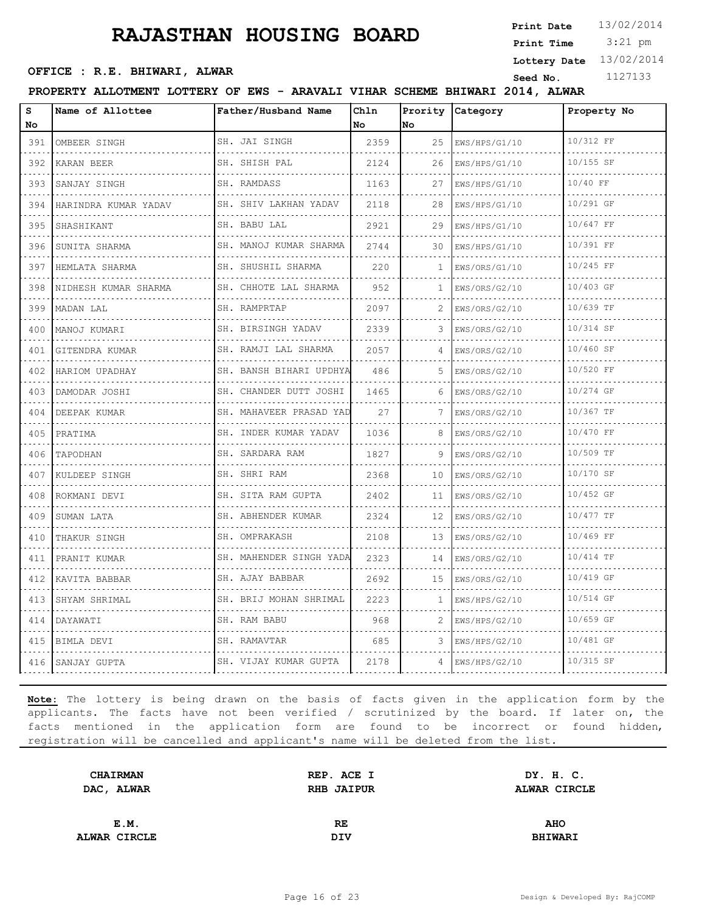3:21 pm **Print Date**  $13/02/2014$ **Print Time**

**Lottery Date** 13/02/2014

## **OFFICE : R.E. BHIWARI, ALWAR**<br>
Seed No. 1127133

**PROPERTY ALLOTMENT LOTTERY OF EWS - ARAVALI VIHAR SCHEME BHIWARI 2014, ALWAR**

| s                                                                                                                                | Name of Allottee     | Father/Husband Name         | Ch1n |     | Prority Category | Property No |
|----------------------------------------------------------------------------------------------------------------------------------|----------------------|-----------------------------|------|-----|------------------|-------------|
| No                                                                                                                               |                      |                             | No   | No. |                  |             |
| 391                                                                                                                              | OMBEER SINGH         | SH. JAI SINGH<br>.          | 2359 | 25  | EWS/HPS/G1/10    | 10/312 FF   |
| 392                                                                                                                              | KARAN BEER           | SH. SHISH PAL               | 2124 | 26  | EWS/HPS/G1/10    | 10/155 SF   |
| 393                                                                                                                              | SANJAY SINGH         | SH. RAMDASS                 | 1163 | 27  | EWS/HPS/G1/10    | 10/40 FF    |
| $\sim$ $\sim$ $\sim$<br>394                                                                                                      | HARINDRA KUMAR YADAV | SH. SHIV LAKHAN YADAV<br>.  | 2118 | 28  | EWS/HPS/G1/10    | 10/291 GF   |
| 395                                                                                                                              | SHASHIKANT           | SH. BABU LAL                | 2921 | 29  | EWS/HPS/G1/10    | 10/647 FF   |
| 396                                                                                                                              | SUNITA SHARMA        | SH. MANOJ KUMAR SHARMA      | 2744 | 30  | EWS/HPS/G1/10    | 10/391 FF   |
| 397                                                                                                                              | HEMLATA SHARMA       | SH. SHUSHIL SHARMA<br>.     | 220  | 1.  | EWS/ORS/G1/10    | 10/245 FF   |
| 398                                                                                                                              | NIDHESH KUMAR SHARMA | SH. CHHOTE LAL SHARMA       | 952  | 1   | EWS/ORS/G2/10    | 10/403 GF   |
| 399                                                                                                                              | MADAN LAL            | SH. RAMPRTAP                | 2097 | 2   | EWS/ORS/G2/10    | 10/639 TF   |
| 400                                                                                                                              | MANOJ KUMARI         | SH. BIRSINGH YADAV          | 2339 |     | EWS/ORS/G2/10    | 10/314 SF   |
| $\sim$ $\sim$ $\sim$<br>401                                                                                                      | GITENDRA KUMAR       | SH. RAMJI LAL SHARMA        | 2057 | 4   | EWS/ORS/G2/10    | 10/460 SF   |
| 402                                                                                                                              | HARIOM UPADHAY       | SH. BANSH BIHARI UPDHYA     | 486  |     | EWS/ORS/G2/10    | 10/520 FF   |
| 403                                                                                                                              | DAMODAR JOSHI        | SH. CHANDER DUTT JOSHI<br>. | 1465 |     | EWS/ORS/G2/10    | 10/274 GF   |
| $\sim$ $\sim$ $\sim$ $\sim$<br>404                                                                                               | DEEPAK KUMAR         | SH. MAHAVEER PRASAD YAD     | 27   | 7   | EWS/ORS/G2/10    | 10/367 TF   |
| 405                                                                                                                              | PRATIMA              | SH. INDER KUMAR YADAV       | 1036 | 8   | EWS/ORS/G2/10    | 10/470 FF   |
| 406<br>$\sim$ $\sim$ $\sim$ $\sim$                                                                                               | TAPODHAN             | SH. SARDARA RAM<br>.        | 1827 | 9   | EWS/ORS/G2/10    | 10/509 TF   |
| 407                                                                                                                              | KULDEEP SINGH        | SH. SHRI RAM                | 2368 | 10  | EWS/ORS/G2/10    | 10/170 SF   |
| 408                                                                                                                              | ROKMANI DEVI         | SH. SITA RAM GUPTA          | 2402 | 11  | EWS/ORS/G2/10    | 10/452 GF   |
| 409<br>$\frac{1}{2} \left( \frac{1}{2} \right) \left( \frac{1}{2} \right) \left( \frac{1}{2} \right) \left( \frac{1}{2} \right)$ | SUMAN LATA           | SH. ABHENDER KUMAR          | 2324 | 12  | EWS/ORS/G2/10    | 10/477 TF   |
| 410                                                                                                                              | THAKUR SINGH         | SH. OMPRAKASH               | 2108 | 13  | EWS/ORS/G2/10    | 10/469 FF   |
| 411                                                                                                                              | PRANIT KUMAR         | SH. MAHENDER SINGH YADA     | 2323 | 14  | EWS/ORS/G2/10    | 10/414 TF   |
| 412<br>$\omega$ and $\omega$ in                                                                                                  | KAVITA BABBAR        | SH. AJAY BABBAR<br>.        | 2692 | 15  | EWS/ORS/G2/10    | 10/419 GF   |
| 413                                                                                                                              | SHYAM SHRIMAL        | SH. BRIJ MOHAN SHRIMAL      | 2223 | 1.  | EWS/HPS/G2/10    | 10/514 GF   |
| 414                                                                                                                              | DAYAWATI             | SH. RAM BABU                | 968  | 2   | EWS/HPS/G2/10    | 10/659 GF   |
| 415                                                                                                                              | BIMLA DEVI           | SH. RAMAVTAR                | 685  | 3   | EWS/HPS/G2/10    | 10/481 GF   |
| 416                                                                                                                              | SANJAY GUPTA         | SH. VIJAY KUMAR GUPTA       | 2178 | 4   | EWS/HPS/G2/10    | 10/315 SF   |

| <b>CHAIRMAN</b> | REP. ACE I | DY. H. C.      |  |
|-----------------|------------|----------------|--|
| DAC, ALWAR      | RHB JAIPUR | ALWAR CIRCLE   |  |
|                 |            |                |  |
| E.M.            | RE.        | <b>AHO</b>     |  |
| ALWAR CIRCLE    | DIV        | <b>BHIWARI</b> |  |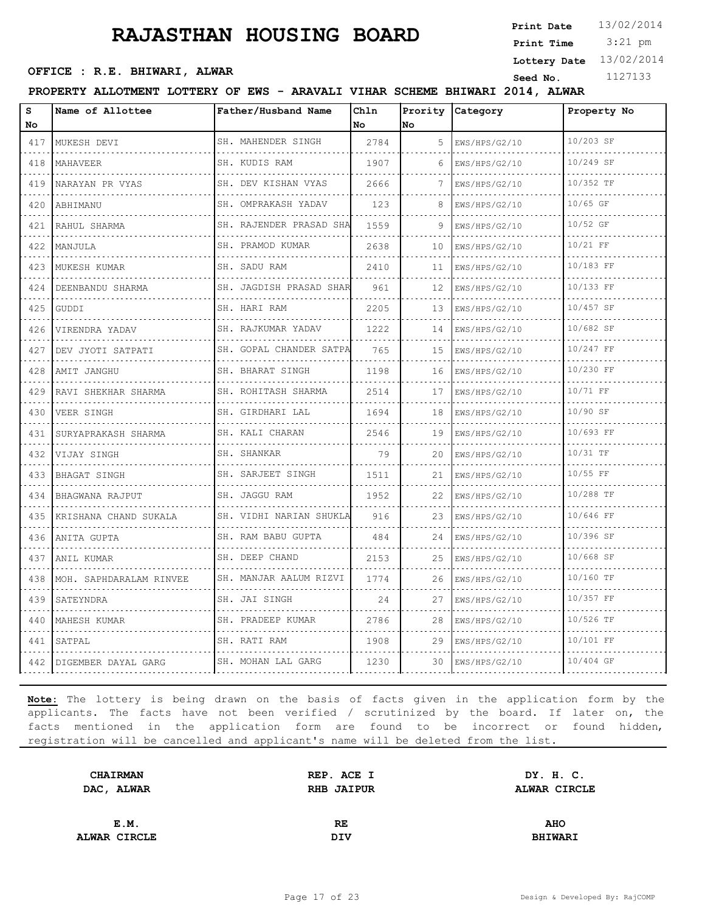3:21 pm **Print Date Print Time**

## **OFFICE : R.E. BHIWARI, ALWAR**<br>
Seed No. 1127133

**Lottery Date** 13/02/2014

#### **PROPERTY ALLOTMENT LOTTERY OF EWS - ARAVALI VIHAR SCHEME BHIWARI 2014, ALWAR**

| S<br>No                                                                                                                              | Name of Allottee          | Father/Husband Name          | Chln<br>No | No | Prority Category   | Property No |
|--------------------------------------------------------------------------------------------------------------------------------------|---------------------------|------------------------------|------------|----|--------------------|-------------|
| 417                                                                                                                                  | MUKESH DEVI               | SH. MAHENDER SINGH           | 2784       | 5  | KWS/HPS/G2/10      | 10/203 SF   |
| 418                                                                                                                                  | MAHAVEER<br>.             | SH. KUDIS RAM<br>.           | 1907       | 6  | EWS/HPS/G2/10<br>. | 10/249 SF   |
| .<br>419                                                                                                                             | NARAYAN PR VYAS           | SH. DEV KISHAN VYAS          | 2666       |    | EWS/HPS/G2/10      | 10/352 TF   |
| 420                                                                                                                                  | ABHIMANU                  | SH. OMPRAKASH YADAV          | 123        | 8  | EWS/HPS/G2/10      | 10/65 GF    |
| 421                                                                                                                                  | RAHUL SHARMA              | .<br>SH. RAJENDER PRASAD SHA | 1559       | 9  | EWS/HPS/G2/10      | 10/52 GF    |
| 422                                                                                                                                  | MANJULA                   | SH. PRAMOD KUMAR             | 2638       | 10 | EWS/HPS/G2/10      | $10/21$ FF  |
| 423                                                                                                                                  | MUKESH KUMAR              | SH. SADU RAM                 | 2410       | 11 | EWS/HPS/G2/10      | 10/183 FF   |
| .<br>424                                                                                                                             | DEENBANDU SHARMA          | SH. JAGDISH PRASAD SHAR      | 961        | 12 | EWS/HPS/G2/10      | 10/133 FF   |
| 425                                                                                                                                  | GUDDI                     | SH. HARI RAM                 | 2205       | 13 | EWS/HPS/G2/10      | 10/457 SF   |
| $-1 - 1 - 1$<br>426                                                                                                                  | VIRENDRA YADAV            | SH. RAJKUMAR YADAV           | 1222       | 14 | EWS/HPS/G2/10      | 10/682 SF   |
| .<br>427                                                                                                                             | DEV JYOTI SATPATI         | SH. GOPAL CHANDER SATPA      | 765        | 15 | EWS/HPS/G2/10      | 10/247 FF   |
| 428                                                                                                                                  | AMIT JANGHU               | SH. BHARAT SINGH             | 1198       | 16 | EWS/HPS/G2/10      | 10/230 FF   |
| 429                                                                                                                                  | RAVI SHEKHAR SHARMA       | SH. ROHITASH SHARMA<br>.     | 2514       | 17 | EWS/HPS/G2/10      | 10/71 FF    |
| 430                                                                                                                                  | VEER SINGH                | SH. GIRDHARI LAL             | 1694       | 18 | EWS/HPS/G2/10      | 10/90 SF    |
| 431                                                                                                                                  | SURYAPRAKASH SHARMA       | SH. KALI CHARAN              | 2546       | 19 | EWS/HPS/G2/10      | 10/693 FF   |
| 432                                                                                                                                  | VIJAY SINGH               | SH. SHANKAR<br>.             | 79         | 20 | EWS/HPS/G2/10      | 10/31 TF    |
| 433                                                                                                                                  | BHAGAT SINGH              | SH. SARJEET SINGH            | 1511       | 21 | EWS/HPS/G2/10      | $10/55$ FF  |
| 434                                                                                                                                  | BHAGWANA RAJPUT           | SH. JAGGU RAM                | 1952       | 22 | EWS/HPS/G2/10      | 10/288 TF   |
| .<br>435                                                                                                                             | KRISHANA CHAND SUKALA     | SH. VIDHI NARIAN SHUKLA      | 916        | 23 | EWS/HPS/G2/10      | 10/646 FF   |
| 436                                                                                                                                  | ANITA GUPTA               | SH. RAM BABU GUPTA           | 484        | 24 | EWS/HPS/G2/10      | 10/396 SF   |
| 437                                                                                                                                  | ANIL KUMAR                | SH. DEEP CHAND               | 2153       | 25 | EWS/HPS/G2/10      | 10/668 SF   |
| - - - -<br>438                                                                                                                       | MOH. SAPHDARALAM RINVEE   | SH. MANJAR AALUM RIZVI       | 1774       | 26 | EWS/HPS/G2/10      | 10/160 TF   |
| 439                                                                                                                                  | SATEYNDRA                 | SH. JAI SINGH                | 24         | 27 | EWS/HPS/G2/10      | 10/357 FF   |
| 440                                                                                                                                  | MAHESH KUMAR              | SH. PRADEEP KUMAR            | 2786       | 28 | EWS/HPS/G2/10      | 10/526 TF   |
| 441                                                                                                                                  | SATPAL                    | SH. RATI RAM                 | 1908       | 29 | EWS/HPS/G2/10      | 10/101 FF   |
| $\mathcal{L}^{\mathcal{A}}\left( \mathcal{A}^{\mathcal{A}}\right) =\mathcal{L}^{\mathcal{A}}\left( \mathcal{A}^{\mathcal{A}}\right)$ | 442   DIGEMBER DAYAL GARG | SH. MOHAN LAL GARG           | 1230       | 30 | EWS/HPS/G2/10      | 10/404 GF   |

| <b>CHAIRMAN</b> | REP. ACE I        | DY. H. C.      |  |
|-----------------|-------------------|----------------|--|
| DAC, ALWAR      | <b>RHB JAIPUR</b> | ALWAR CIRCLE   |  |
|                 |                   |                |  |
| E.M.            | RE                | <b>AHO</b>     |  |
|                 |                   |                |  |
| ALWAR CIRCLE    | DIV               | <b>BHIWARI</b> |  |
|                 |                   |                |  |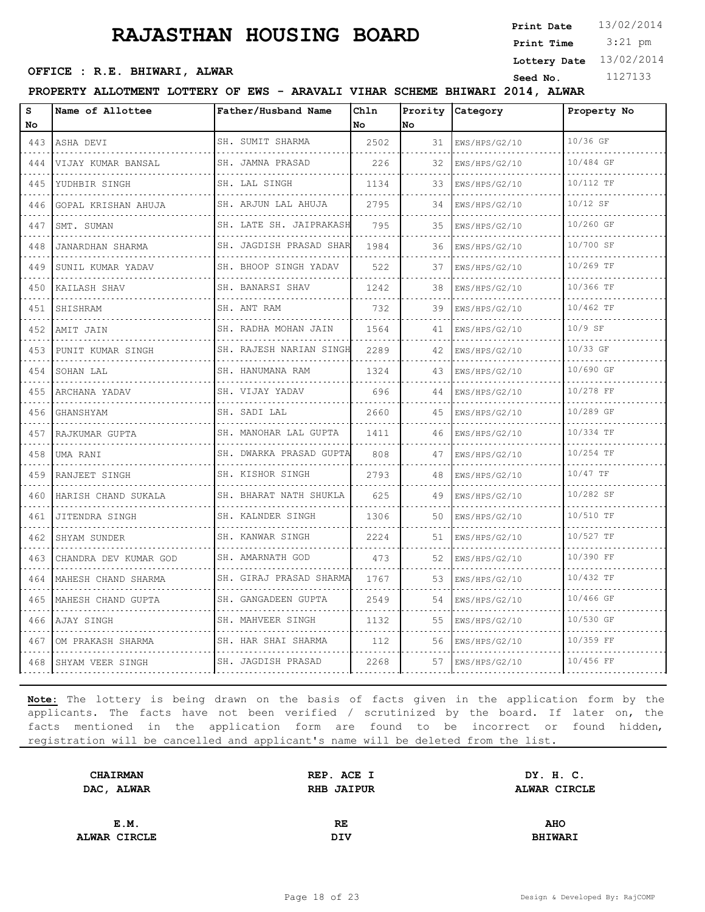3:21 pm **Print Date Print Time**

## **OFFICE : R.E. BHIWARI, ALWAR**<br>
Seed No. 1127133

**Lottery Date** 13/02/2014

#### **PROPERTY ALLOTMENT LOTTERY OF EWS - ARAVALI VIHAR SCHEME BHIWARI 2014, ALWAR**

| s<br>No                                                                                                                                     | Name of Allottee      | Father/Husband Name          | Chln<br>No | Prority<br>No | Category      | Property No |
|---------------------------------------------------------------------------------------------------------------------------------------------|-----------------------|------------------------------|------------|---------------|---------------|-------------|
| 443                                                                                                                                         | ASHA DEVI             | SH. SUMIT SHARMA             | 2502       | 31            | EWS/HPS/G2/10 | 10/36 GF    |
| $\mathcal{L}^{\mathcal{A}}\left( \mathcal{A}^{\mathcal{A}}\right) =\mathcal{A}^{\mathcal{A}}\left( \mathcal{A}^{\mathcal{A}}\right)$<br>444 | VIJAY KUMAR BANSAL    | SH. JAMNA PRASAD             | 226        | 32            | EWS/HPS/G2/10 | 10/484 GF   |
| 445                                                                                                                                         | YUDHBIR SINGH         | SH. LAL SINGH                | 1134       | 33            | EWS/HPS/G2/10 | 10/112 TF   |
| 446                                                                                                                                         | GOPAL KRISHAN AHUJA   | SH. ARJUN LAL AHUJA          | 2795       | 34            | EWS/HPS/G2/10 | 10/12 SF    |
| $- - - -$<br>447                                                                                                                            | SMT. SUMAN            | .<br>SH. LATE SH. JAIPRAKASH | 795        | 35            | EWS/HPS/G2/10 | 10/260 GF   |
| 448                                                                                                                                         | JANARDHAN SHARMA      | SH. JAGDISH PRASAD SHAR      | 1984       | 36            | EWS/HPS/G2/10 | 10/700 SF   |
| 449                                                                                                                                         | SUNIL KUMAR YADAV     | SH. BHOOP SINGH YADAV        | 522        | 37            | EWS/HPS/G2/10 | 10/269 TF   |
| $   -$<br>450                                                                                                                               | KAILASH SHAV          | SH. BANARSI SHAV             | 1242       | 38            | EWS/HPS/G2/10 | 10/366 TF   |
| 451                                                                                                                                         | SHISHRAM              | .<br>SH. ANT RAM             | 732        | 39            | EWS/HPS/G2/10 | 10/462 TF   |
| 452                                                                                                                                         | AMIT JAIN             | SH. RADHA MOHAN JAIN         | 1564       | 41            | EWS/HPS/G2/10 | $10/9$ SF   |
| .<br>453                                                                                                                                    | PUNIT KUMAR SINGH     | SH. RAJESH NARIAN SINGH      | 2289       | 42            | EWS/HPS/G2/10 | 10/33 GF    |
| 454                                                                                                                                         | SOHAN LAL             | SH. HANUMANA RAM             | 1324       | 43            | EWS/HPS/G2/10 | 10/690 GF   |
| 455                                                                                                                                         | ARCHANA YADAV         | SH. VIJAY YADAV              | 696        | 44            | EWS/HPS/G2/10 | 10/278 FF   |
| $\frac{1}{2} \left( \frac{1}{2} \right) \left( \frac{1}{2} \right) \left( \frac{1}{2} \right) \left( \frac{1}{2} \right)$<br>456            | GHANSHYAM             | SH. SADI LAL                 | 2660       | 45            | EWS/HPS/G2/10 | 10/289 GF   |
| 457                                                                                                                                         | RAJKUMAR GUPTA        | SH. MANOHAR LAL GUPTA        | 1411       | 46            | EWS/HPS/G2/10 | 10/334 TF   |
| 458                                                                                                                                         | UMA RANI              | .<br>SH. DWARKA PRASAD GUPTA | 808        | 47            | EWS/HPS/G2/10 | 10/254 TF   |
| ----<br>459                                                                                                                                 | RANJEET SINGH         | SH. KISHOR SINGH             | 2793       | 48            | EWS/HPS/G2/10 | $10/47$ TF  |
| 460                                                                                                                                         | HARISH CHAND SUKALA   | SH. BHARAT NATH SHUKLA       | 625        | 49            | EWS/HPS/G2/10 | 10/282 SF   |
| 461                                                                                                                                         | JITENDRA SINGH        | SH. KALNDER SINGH            | 1306       | 50            | EWS/HPS/G2/10 | 10/510 TF   |
| $\frac{1}{2} \left( \frac{1}{2} \right) \left( \frac{1}{2} \right) \left( \frac{1}{2} \right) \left( \frac{1}{2} \right)$<br>462            | SHYAM SUNDER          | SH. KANWAR SINGH             | 2224       | 51            | EWS/HPS/G2/10 | 10/527 TF   |
| 463                                                                                                                                         | CHANDRA DEV KUMAR GOD | .<br>SH. AMARNATH GOD        | 473        | 52            | EWS/HPS/G2/10 | 10/390 FF   |
| 464                                                                                                                                         | MAHESH CHAND SHARMA   | SH. GIRAJ PRASAD SHARMA      | 1767       | 53            | EWS/HPS/G2/10 | 10/432 TF   |
| 2020-<br>465                                                                                                                                | MAHESH CHAND GUPTA    | SH. GANGADEEN GUPTA<br>.     | 2549       | 54            | EWS/HPS/G2/10 | 10/466 GF   |
| 466                                                                                                                                         | AJAY SINGH            | SH. MAHVEER SINGH            | 1132       | 55            | EWS/HPS/G2/10 | 10/530 GF   |
| 467                                                                                                                                         | OM PRAKASH SHARMA     | SH. HAR SHAI SHARMA          | 112        | 56            | EWS/HPS/G2/10 | 10/359 FF   |
| 468                                                                                                                                         | SHYAM VEER SINGH      | SH. JAGDISH PRASAD           | 2268       | 57            | EWS/HPS/G2/10 | 10/456 FF   |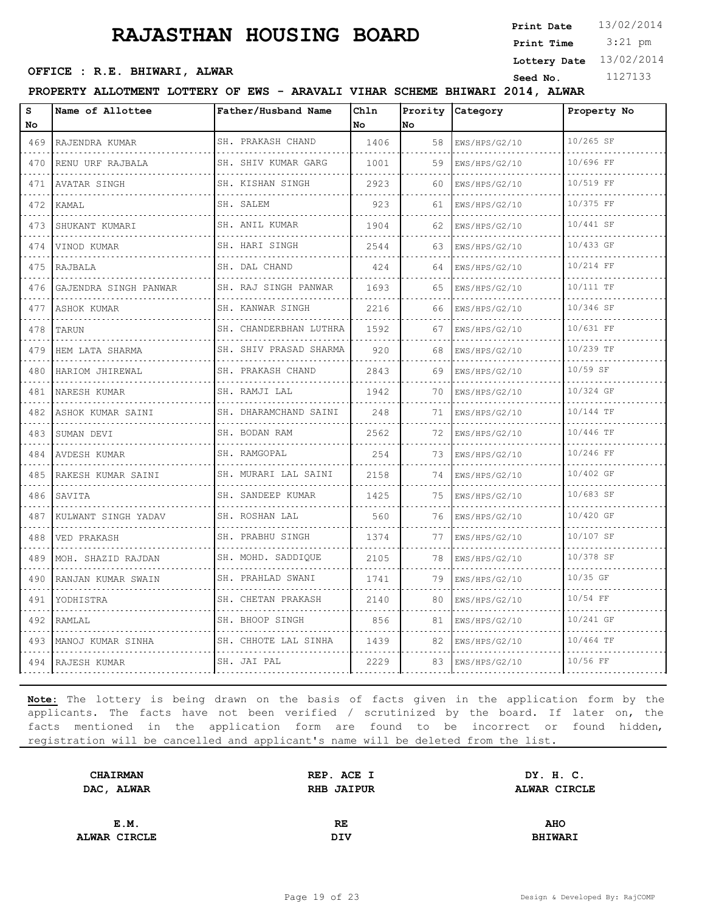3:21 pm **Print Date Print Time**

## **OFFICE : R.E. BHIWARI, ALWAR**<br>
Seed No. 1127133

**Lottery Date** 13/02/2014

#### **PROPERTY ALLOTMENT LOTTERY OF EWS - ARAVALI VIHAR SCHEME BHIWARI 2014, ALWAR**

| s<br>No                                          | Name of Allottee      | Father/Husband Name           | Chln<br>No | Prority<br>No | Category                               | Property No |
|--------------------------------------------------|-----------------------|-------------------------------|------------|---------------|----------------------------------------|-------------|
| 469                                              | RAJENDRA KUMAR<br>.   | SH. PRAKASH CHAND             | 1406       | 58            | EWS/HPS/G2/10                          | 10/265 SF   |
| $\sim$ $\sim$ $\sim$ $\sim$<br>470               | RENU URF RAJBALA      | .<br>SH. SHIV KUMAR GARG<br>. | 1001       | 59            | .<br>EWS/HPS/G2/10                     | 10/696 FF   |
| 471                                              | AVATAR SINGH          | SH. KISHAN SINGH              | 2923       | 60            | .<br>EWS/HPS/G2/10                     | 10/519 FF   |
| 472                                              | KAMAL                 | SH. SALEM                     | 923        | 61            | EWS/HPS/G2/10                          | 10/375 FF   |
| $\sim$ $\sim$ $\sim$ $\sim$<br>473               | SHUKANT KUMARI        | .<br>SH. ANIL KUMAR<br>.      | 1904       | 62            | EWS/HPS/G2/10                          | 10/441 SF   |
| 474                                              | VINOD KUMAR           | SH. HARI SINGH                | 2544       | 63            | EWS/HPS/G2/10                          | 10/433 GF   |
| 475                                              | RAJBALA               | SH. DAL CHAND<br>.            | 424        | 64            | EWS/HPS/G2/10<br>.                     | 10/214 FF   |
| $\omega$ , $\omega$ , $\omega$ , $\omega$<br>476 | GAJENDRA SINGH PANWAR | SH. RAJ SINGH PANWAR<br>.     | 1693       | 65            | EWS/HPS/G2/10<br>.                     | 10/111 TF   |
| 477                                              | ASHOK KUMAR           | SH. KANWAR SINGH              | 2216       | 66            | EWS/HPS/G2/10                          | 10/346 SF   |
| 478                                              | TARUN                 | SH. CHANDERBHAN LUTHRA        | 1592       | 67            | EWS/HPS/G2/10                          | 10/631 FF   |
| $\sim$ $\sim$ $\sim$ $\sim$<br>479               | HEM LATA SHARMA       | SH. SHIV PRASAD SHARMA<br>.   | 920        | 68            | EWS/HPS/G2/10                          | 10/239 TF   |
| 480                                              | HARIOM JHIREWAL       | SH. PRAKASH CHAND             | 2843       | 69            | EWS/HPS/G2/10                          | 10/59 SF    |
| 481                                              | NARESH KUMAR<br>.     | SH. RAMJI LAL<br>.            | 1942       | 70            | EWS/HPS/G2/10<br>.                     | 10/324 GF   |
| $\omega$ , $\omega$ , $\omega$ , $\omega$<br>482 | ASHOK KUMAR SAINI     | SH. DHARAMCHAND SAINI<br>.    | 248        | 71            | EWS/HPS/G2/10                          | 10/144 TF   |
| 483                                              | SUMAN DEVI            | SH. BODAN RAM                 | 2562       | 72            | EWS/HPS/G2/10                          | 10/446 TF   |
| 484                                              | AVDESH KUMAR<br>.     | SH. RAMGOPAL                  | 254        | 73            | EWS/HPS/G2/10<br>.                     | 10/246 FF   |
| 485                                              | RAKESH KUMAR SAINI    | SH. MURARI LAL SAINI<br>.     | 2158       | 74            | EWS/HPS/G2/10                          | 10/402 GF   |
| 486                                              | SAVITA                | SH. SANDEEP KUMAR             | 1425       | 75            | EWS/HPS/G2/10                          | 10/683 SF   |
| 487                                              | KULWANT SINGH YADAV   | SH. ROSHAN LAL<br>.           | 560        | 76.           | EWS/HPS/G2/10<br>.                     | 10/420 GF   |
| 488                                              | VED PRAKASH           | SH. PRABHU SINGH<br>.         | 1374       | 77            | EWS/HPS/G2/10                          | 10/107 SF   |
| 489                                              | MOH. SHAZID RAJDAN    | SH. MOHD. SADDIOUE            | 2105       | 78            | EWS/HPS/G2/10                          | 10/378 SF   |
| 490                                              | RANJAN KUMAR SWAIN    | SH. PRAHLAD SWANI<br>.        | 1741       | 79            | EWS/HPS/G2/10<br>dia dia dia dia dia d | 10/35 GF    |
| $\omega$ is a $\omega$<br>491                    | YODHISTRA             | SH. CHETAN PRAKASH            | 2140       | 80            | EWS/HPS/G2/10                          | $10/54$ FF  |
| 492                                              | RAMLAL                | .<br>SH. BHOOP SINGH          | 856        | 81            | EWS/HPS/G2/10                          | 10/241 GF   |
| 493                                              | MANOJ KUMAR SINHA     | SH. CHHOTE LAL SINHA<br>.     | 1439       | 82            | EWS/HPS/G2/10                          | 10/464 TF   |
| 494                                              | RAJESH KUMAR          | SH. JAI PAL                   | 2229       | 83            | EWS/HPS/G2/10                          | 10/56 FF    |

| <b>CHAIRMAN</b> | REP. ACE I        | DY. H. C.      |  |
|-----------------|-------------------|----------------|--|
| DAC, ALWAR      | <b>RHB JAIPUR</b> | ALWAR CIRCLE   |  |
|                 |                   |                |  |
| E.M.            | RE.               | <b>AHO</b>     |  |
| ALWAR CIRCLE    | DIV               | <b>BHIWARI</b> |  |
|                 |                   |                |  |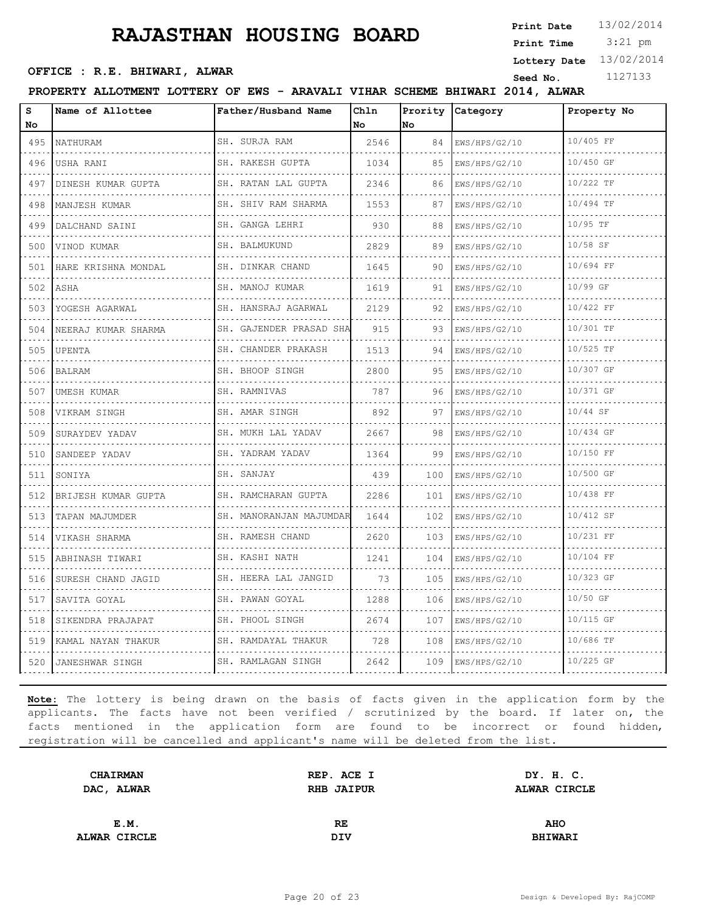3:21 pm **Print Date Print Time**

**Lottery Date** 13/02/2014

## **OFFICE : R.E. BHIWARI, ALWAR**<br>
Seed No. 1127133

**PROPERTY ALLOTMENT LOTTERY OF EWS - ARAVALI VIHAR SCHEME BHIWARI 2014, ALWAR**

| S<br>No                                                   | Name of Allottee    | Father/Husband Name            | Chln<br>No | Prority<br>No | Category           | Property No |
|-----------------------------------------------------------|---------------------|--------------------------------|------------|---------------|--------------------|-------------|
| 495                                                       | NATHURAM            | SH. SURJA RAM                  | 2546       | 84            | EWS/HPS/G2/10      | 10/405 FF   |
| $\sim$ $\sim$ $\sim$ $\sim$<br>496                        | USHA RANI           | .<br>SH. RAKESH GUPTA          | 1034       | 85            | .<br>EWS/HPS/G2/10 | 10/450 GF   |
| 497                                                       | DINESH KUMAR GUPTA  | SH. RATAN LAL GUPTA            | 2346       | 86            | EWS/HPS/G2/10      | 10/222 TF   |
| 498                                                       | MANJESH KUMAR       | SH. SHIV RAM SHARMA            | 1553       | 87            | EWS/HPS/G2/10      | 10/494 TF   |
| $\sim$ $\sim$ $\sim$ $\sim$<br>499                        | .<br>DALCHAND SAINI | .<br>SH. GANGA LEHRI           | 930        | 88            | EWS/HPS/G2/10      | 10/95 TF    |
| 500                                                       | VINOD KUMAR         | .<br>SH. BALMUKUND             | 2829       | 89            | EWS/HPS/G2/10      | $10/58$ SF  |
| 501                                                       | HARE KRISHNA MONDAL | SH. DINKAR CHAND               | 1645       | 90            | EWS/HPS/G2/10      | 10/694 FF   |
| $\omega$ , $\omega$ , $\omega$ , $\omega$<br>502          | ASHA                | SH. MANOJ KUMAR<br>.           | 1619       | 91            | .<br>EWS/HPS/G2/10 | 10/99 GF    |
| 503                                                       | YOGESH AGARWAL      | SH. HANSRAJ AGARWAL            | 2129       | 92            | EWS/HPS/G2/10      | 10/422 FF   |
| 504                                                       | NEERAJ KUMAR SHARMA | SH. GAJENDER PRASAD SHA<br>.   | 915        | 93            | EWS/HPS/G2/10      | 10/301 TF   |
| $\sim$ $\sim$ $\sim$ $\sim$<br>505                        | UPENTA              | SH. CHANDER PRAKASH<br>.       | 1513       | 94            | EWS/HPS/G2/10      | 10/525 TF   |
| 506                                                       | <b>BALRAM</b>       | SH. BHOOP SINGH                | 2800       | 95            | EWS/HPS/G2/10      | 10/307 GF   |
| 507                                                       | UMESH KUMAR<br>.    | SH. RAMNIVAS<br>.              | 787        | 96            | EWS/HPS/G2/10<br>. | 10/371 GF   |
| $\omega_{\rm c} = \omega_{\rm c} = \omega_{\rm c}$<br>508 | VIKRAM SINGH        | SH. AMAR SINGH<br>.            | 892        | 97            | EWS/HPS/G2/10      | $10/44$ SF  |
| 509                                                       | SURAYDEV YADAV      | SH. MUKH LAL YADAV             | 2667       | 98            | EWS/HPS/G2/10      | 10/434 GF   |
| 510                                                       | SANDEEP YADAV       | SH. YADRAM YADAV<br>.          | 1364       | 99            | EWS/HPS/G2/10      | 10/150 FF   |
| $\sim$ $\sim$ $\sim$ $\sim$<br>511                        | SONIYA              | SH. SANJAY                     | 439        | 100           | EWS/HPS/G2/10      | 10/500 GF   |
| 512                                                       | BRIJESH KUMAR GUPTA | SH. RAMCHARAN GUPTA            | 2286       | 101           | EWS/HPS/G2/10      | 10/438 FF   |
| 513                                                       | TAPAN MAJUMDER      | SH. MANORANJAN MAJUMDAR<br>.   | 1644       | 102           | EWS/HPS/G2/10      | 10/412 SF   |
| 514                                                       | VIKASH SHARMA       | SH. RAMESH CHAND<br><u>.</u> . | 2620       | 103           | EWS/HPS/G2/10      | 10/231 FF   |
| 515                                                       | ABHINASH TIWARI     | SH. KASHI NATH                 | 1241       | 104           | EWS/HPS/G2/10      | 10/104 FF   |
| 516                                                       | SURESH CHAND JAGID  | SH. HEERA LAL JANGID<br>.      | 73         | 105           | EWS/HPS/G2/10      | 10/323 GF   |
| 517                                                       | SAVITA GOYAL        | SH. PAWAN GOYAL<br>.           | 1288       | 106           | EWS/HPS/G2/10      | 10/50 GF    |
| 518                                                       | SIKENDRA PRAJAPAT   | SH. PHOOL SINGH                | 2674       | 107           | EWS/HPS/G2/10      | 10/115 GF   |
| 519                                                       | KAMAL NAYAN THAKUR  | SH. RAMDAYAL THAKUR            | 728        | 108           | EWS/HPS/G2/10      | 10/686 TF   |
| 520                                                       | JANESHWAR SINGH     | SH. RAMLAGAN SINGH             | 2642       | 109           | EWS/HPS/G2/10      | 10/225 GF   |

| <b>CHAIRMAN</b> | REP. ACE I        | DY. H. C.           |  |
|-----------------|-------------------|---------------------|--|
| DAC, ALWAR      | <b>RHB JAIPUR</b> | <b>ALWAR CIRCLE</b> |  |
|                 |                   |                     |  |
| E.M.            | RE.               | <b>AHO</b>          |  |
| ALWAR CIRCLE    | DIV               | <b>BHIWARI</b>      |  |
|                 |                   |                     |  |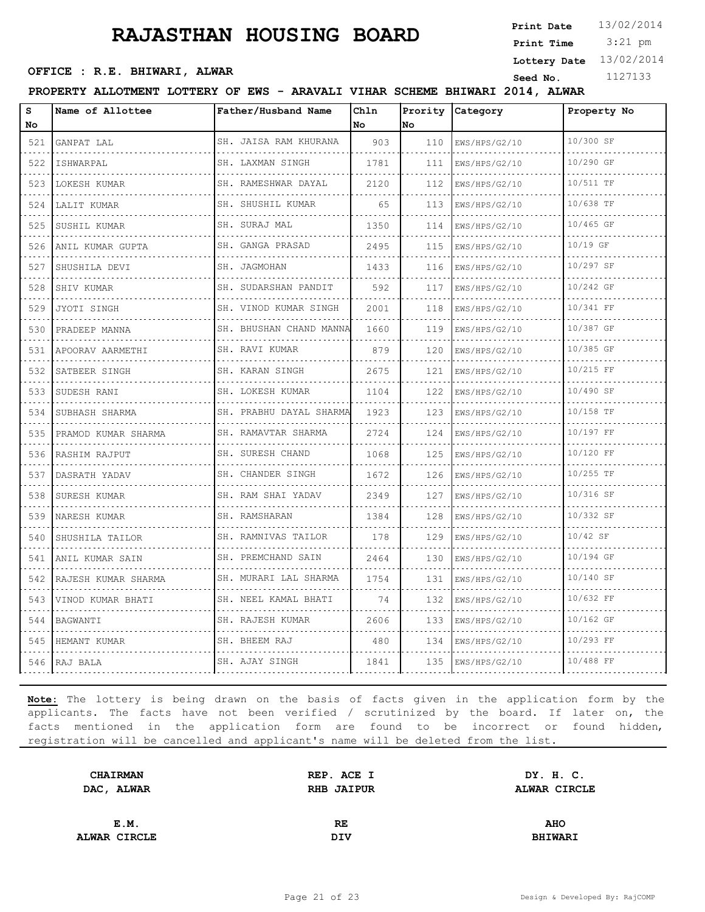3:21 pm **Print Date Print Time**

**Lottery Date** 13/02/2014

## **OFFICE : R.E. BHIWARI, ALWAR**<br>
Seed No. 1127133

#### **PROPERTY ALLOTMENT LOTTERY OF EWS - ARAVALI VIHAR SCHEME BHIWARI 2014, ALWAR**

| s<br>No          | Name of Allottee    | Father/Husband Name          | Chln<br>l No | Prority<br>No | Category           | Property No |
|------------------|---------------------|------------------------------|--------------|---------------|--------------------|-------------|
| 521              | GANPAT LAL          | SH. JAISA RAM KHURANA        | 903          | 110           | EWS/HPS/G2/10      | 10/300 SF   |
| $- - - -$<br>522 | ISHWARPAL           | SH. LAXMAN SINGH             | 1781         | 111           | .<br>EWS/HPS/G2/10 | 10/290 GF   |
| 523              | LOKESH KUMAR        | .<br>SH. RAMESHWAR DAYAL     | 2120         | 112           | EWS/HPS/G2/10      | 10/511 TF   |
| 524              | LALIT KUMAR         | SH. SHUSHIL KUMAR            | 65           | 113           | EWS/HPS/G2/10      | 10/638 TF   |
| 525              | SUSHIL KUMAR        | .<br>SH. SURAJ MAL           | 1350         | .<br>114      | EWS/HPS/G2/10      | 10/465 GF   |
| 526              | ANIL KUMAR GUPTA    | SH. GANGA PRASAD             | 2495         | 115           | EWS/HPS/G2/10      | 10/19 GF    |
| 527              | SHUSHILA DEVI       | SH. JAGMOHAN                 | 1433         | 116           | EWS/HPS/G2/10      | 10/297 SF   |
| 528              | SHIV KUMAR          | SH. SUDARSHAN PANDIT         | 592          | 117           | .<br>EWS/HPS/G2/10 | 10/242 GF   |
| 529              | JYOTI SINGH         | SH. VINOD KUMAR SINGH        | 2001         | 118           | EWS/HPS/G2/10      | 10/341 FF   |
| 530              | PRADEEP MANNA       | SH. BHUSHAN CHAND MANNA      | 1660         | 119           | EWS/HPS/G2/10      | 10/387 GF   |
| 531              | APOORAV AARMETHI    | SH. RAVI KUMAR               | 879          | 120           | EWS/HPS/G2/10      | 10/385 GF   |
| 532              | SATBEER SINGH       | SH. KARAN SINGH              | 2675         | 121           | EWS/HPS/G2/10      | 10/215 FF   |
| 533              | SUDESH RANI         | SH. LOKESH KUMAR<br>.        | 1104         | 122           | EWS/HPS/G2/10      | 10/490 SF   |
| 534              | SUBHASH SHARMA      | SH. PRABHU DAYAL SHARMA<br>. | 1923         | 123           | EWS/HPS/G2/10      | 10/158 TF   |
| 535              | PRAMOD KUMAR SHARMA | SH. RAMAVTAR SHARMA          | 2724         | 124           | EWS/HPS/G2/10      | 10/197 FF   |
| 536              | RASHIM RAJPUT<br>.  | SH. SURESH CHAND<br>.        | 1068         | 125           | EWS/HPS/G2/10      | 10/120 FF   |
| 537              | DASRATH YADAV       | SH. CHANDER SINGH            | 1672         | 126           | EWS/HPS/G2/10      | $10/255$ TF |
| 538              | SURESH KUMAR        | SH. RAM SHAI YADAV<br>.      | 2349         | 127           | EWS/HPS/G2/10      | 10/316 SF   |
| 539              | NARESH KUMAR        | SH. RAMSHARAN                | 1384         | 128           | EWS/HPS/G2/10      | 10/332 SF   |
| 540              | SHUSHILA TAILOR     | SH. RAMNIVAS TAILOR          | 178          | 129           | EWS/HPS/G2/10      | 10/42 SF    |
| 541              | ANIL KUMAR SAIN     | SH. PREMCHAND SAIN           | 2464         | 130           | EWS/HPS/G2/10      | 10/194 GF   |
| 542              | RAJESH KUMAR SHARMA | SH. MURARI LAL SHARMA        | 1754         | 131           | EWS/HPS/G2/10      | 10/140 SF   |
| 543              | VINOD KUMAR BHATI   | SH. NEEL KAMAL BHATI         | 74           | 132           | EWS/HPS/G2/10      | 10/632 FF   |
| 544              | BAGWANTI            | SH. RAJESH KUMAR             | 2606         | 133           | EWS/HPS/G2/10      | 10/162 GF   |
| 545              | HEMANT KUMAR        | SH. BHEEM RAJ                | 480          | 134           | EWS/HPS/G2/10      | 10/293 FF   |
|                  | 546 RAJ BALA        | SH. AJAY SINGH               | 1841         | 135           | EWS/HPS/G2/10      | 10/488 FF   |

| <b>CHAIRMAN</b> | REP. ACE I | DY. H. C.      |  |
|-----------------|------------|----------------|--|
| DAC, ALWAR      | RHB JAIPUR | ALWAR CIRCLE   |  |
|                 |            |                |  |
| E.M.            | RE         | <b>AHO</b>     |  |
| ALWAR CIRCLE    | DIV        | <b>BHIWARI</b> |  |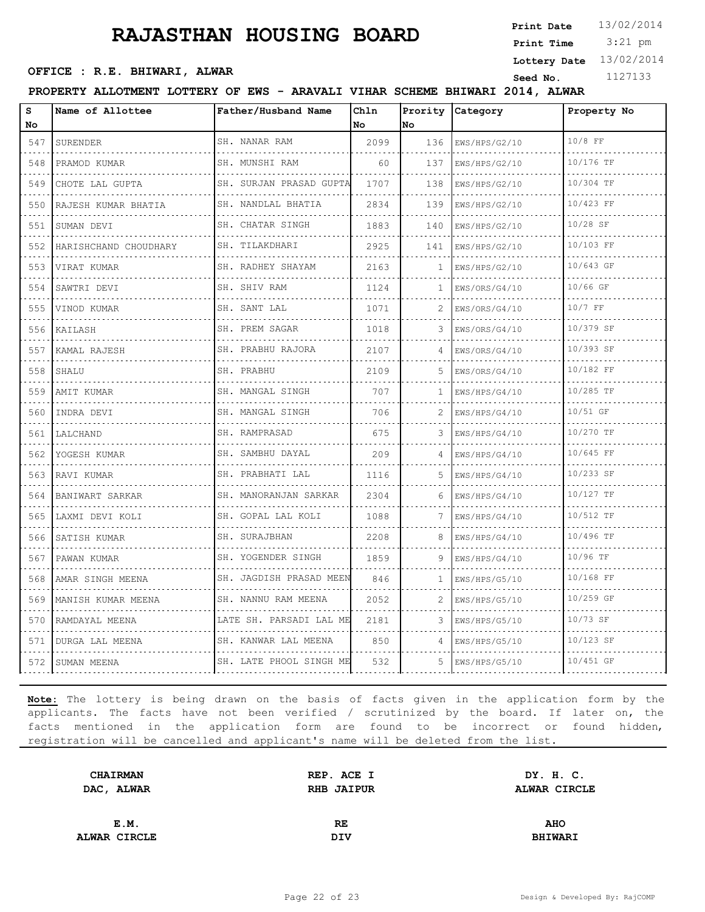3:21 pm **Print Date Print Time**

## **OFFICE : R.E. BHIWARI, ALWAR**<br>
Seed No. 1127133

**Lottery Date** 13/02/2014

#### **PROPERTY ALLOTMENT LOTTERY OF EWS - ARAVALI VIHAR SCHEME BHIWARI 2014, ALWAR**

| S                                                                                                                                           | Name of Allottee        | Father/Husband Name       | Chln<br>No | Prority<br>No | Category      | Property No |
|---------------------------------------------------------------------------------------------------------------------------------------------|-------------------------|---------------------------|------------|---------------|---------------|-------------|
| No<br>547                                                                                                                                   | SURENDER                | SH. NANAR RAM             | 2099       | 136           |               | $10/8$ FF   |
|                                                                                                                                             |                         | .                         |            |               | EWS/HPS/G2/10 |             |
| 548                                                                                                                                         | PRAMOD KUMAR            | SH. MUNSHI RAM            | 60         | 137           | EWS/HPS/G2/10 | 10/176 TF   |
| 549<br>$\sim$ $\sim$ $\sim$                                                                                                                 | CHOTE LAL GUPTA         | SH. SURJAN PRASAD GUPTA   | 1707       | 138           | EWS/HPS/G2/10 | 10/304 TF   |
| 550                                                                                                                                         | RAJESH KUMAR BHATIA     | SH. NANDLAL BHATIA<br>.   | 2834       | 139           | EWS/HPS/G2/10 | 10/423 FF   |
| 551                                                                                                                                         | SUMAN DEVI              | SH. CHATAR SINGH          | 1883       | 140           | EWS/HPS/G2/10 | $10/28$ SF  |
| 552                                                                                                                                         | HARISHCHAND CHOUDHARY   | SH. TILAKDHARI            | 2925       | 141           | EWS/HPS/G2/10 | 10/103 FF   |
| 553                                                                                                                                         | VIRAT KUMAR             | SH. RADHEY SHAYAM         | 2163       | 1.            | EWS/HPS/G2/10 | 10/643 GF   |
| 554                                                                                                                                         | SAWTRI DEVI             | SH. SHIV RAM              | 1124       | 1             | EWS/ORS/G4/10 | 10/66 GF    |
| 555                                                                                                                                         | VINOD KUMAR             | SH. SANT LAL              | 1071       | 2             | EWS/ORS/G4/10 | $10/7$ FF   |
| 556                                                                                                                                         | KAILASH                 | SH. PREM SAGAR            | 1018       |               | EWS/ORS/G4/10 | 10/379 SF   |
| 557                                                                                                                                         | KAMAL RAJESH            | SH. PRABHU RAJORA         | 2107       | 4             | EWS/ORS/G4/10 | 10/393 SF   |
| 558                                                                                                                                         | SHALU                   | SH. PRABHU                | 2109       | 5.            | EWS/ORS/G4/10 | 10/182 FF   |
| 559                                                                                                                                         | AMIT KUMAR              | SH. MANGAL SINGH<br>.     | 707        | 1.            | EWS/HPS/G4/10 | 10/285 TF   |
| ----<br>560                                                                                                                                 | INDRA DEVI              | SH. MANGAL SINGH          | 706        | 2             | EWS/HPS/G4/10 | 10/51 GF    |
| 561                                                                                                                                         | LALCHAND                | SH. RAMPRASAD             | 675        | 3             | EWS/HPS/G4/10 | 10/270 TF   |
| 562<br>$- - - -$                                                                                                                            | YOGESH KUMAR            | SH. SAMBHU DAYAL<br>.     | 209        |               | EWS/HPS/G4/10 | 10/645 FF   |
| 563                                                                                                                                         | RAVI KUMAR              | SH. PRABHATI LAL          | 1116       | 5.            | EWS/HPS/G4/10 | 10/233 SF   |
| 564                                                                                                                                         | BANIWART SARKAR         | SH. MANORANJAN SARKAR     | 2304       | 6             | EWS/HPS/G4/10 | 10/127 TF   |
| 565<br>$- - - -$                                                                                                                            | LAXMI DEVI KOLI         | SH. GOPAL LAL KOLI<br>.   | 1088       |               | EWS/HPS/G4/10 | 10/512 TF   |
| 566                                                                                                                                         | SATISH KUMAR            | SH. SURAJBHAN<br><u>.</u> | 2208       | 8             | EWS/HPS/G4/10 | 10/496 TF   |
| 567                                                                                                                                         | PAWAN KUMAR             | SH. YOGENDER SINGH        | 1859       | 9             | EWS/HPS/G4/10 | 10/96 TF    |
| 568                                                                                                                                         | AMAR SINGH MEENA        | SH. JAGDISH PRASAD MEEN   | 846        | 1             | EWS/HPS/G5/10 | 10/168 FF   |
| $\alpha$ , $\alpha$ , $\alpha$ , $\alpha$<br>569                                                                                            | MANISH KUMAR MEENA<br>. | SH. NANNU RAM MEENA<br>.  | 2052       | 2             | EWS/HPS/G5/10 | 10/259 GF   |
| 570                                                                                                                                         | RAMDAYAL MEENA          | LATE SH. PARSADI LAL ME   | 2181       | 3             | EWS/HPS/G5/10 | 10/73 SF    |
| 571                                                                                                                                         | DURGA LAL MEENA         | SH. KANWAR LAL MEENA<br>. | 850        | $\Delta$      | EWS/HPS/G5/10 | 10/123 SF   |
| $\mathcal{L}^{\mathcal{A}}\left( \mathcal{A}^{\mathcal{A}}\right) =\mathcal{L}^{\mathcal{A}}\left( \mathcal{A}^{\mathcal{A}}\right)$<br>572 | SUMAN MEENA             | SH. LATE PHOOL SINGH ME   | 532        | 5.            | EWS/HPS/G5/10 | 10/451 GF   |

| <b>CHAIRMAN</b>   | REP. ACE I        | DY. H. C.      |  |
|-------------------|-------------------|----------------|--|
| <b>DAC, ALWAR</b> | <b>RHB JAIPUR</b> | ALWAR CIRCLE   |  |
|                   |                   |                |  |
| E.M.              | RE.               | <b>AHO</b>     |  |
| ALWAR CIRCLE      | DIV               | <b>BHIWARI</b> |  |